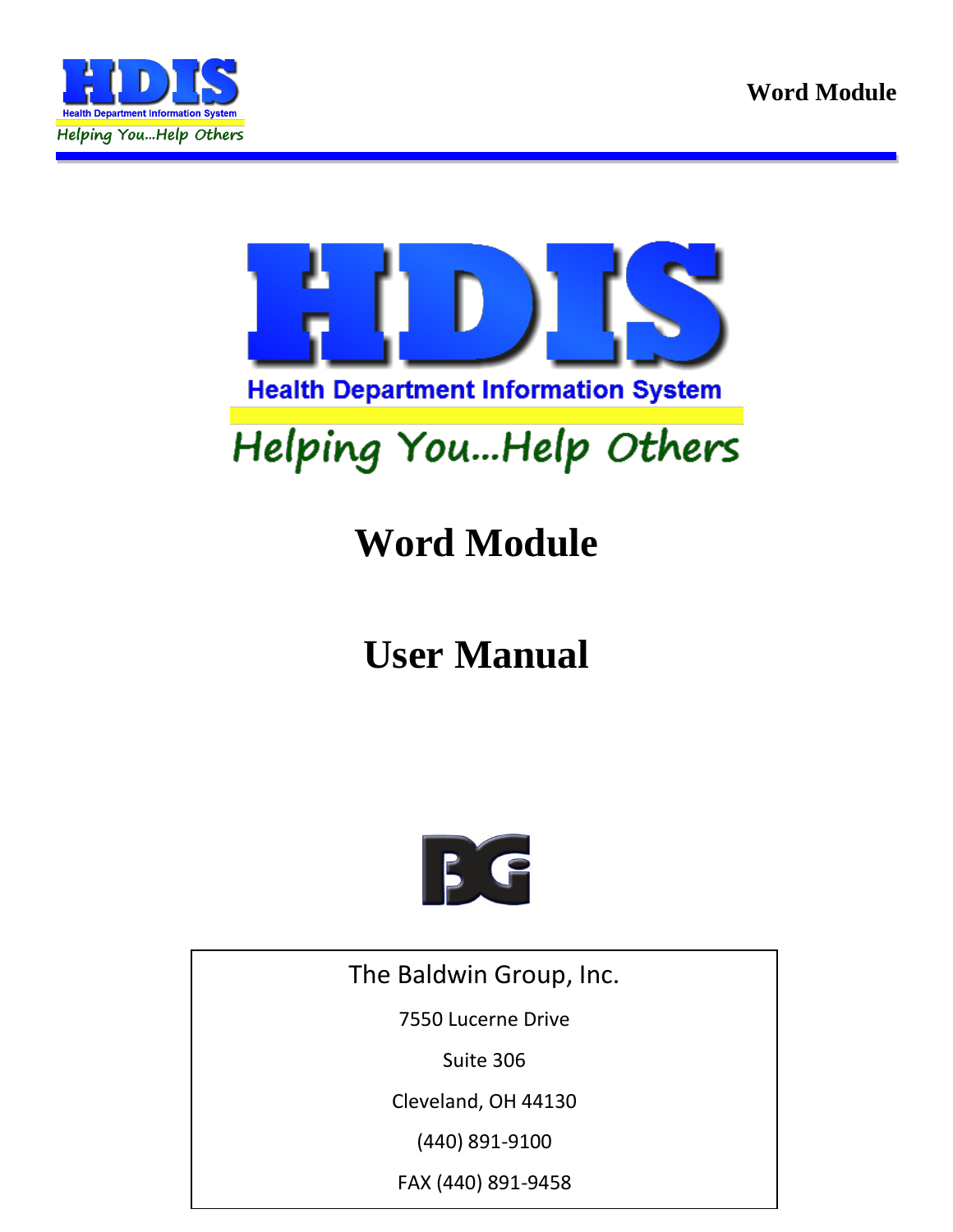



# Helping You...Help Others

# **Word Module**

# **User Manual**



The Baldwin Group, Inc.

7550 Lucerne Drive

Suite 306

Cleveland, OH 44130

(440) 891-9100

FAX (440) 891-9458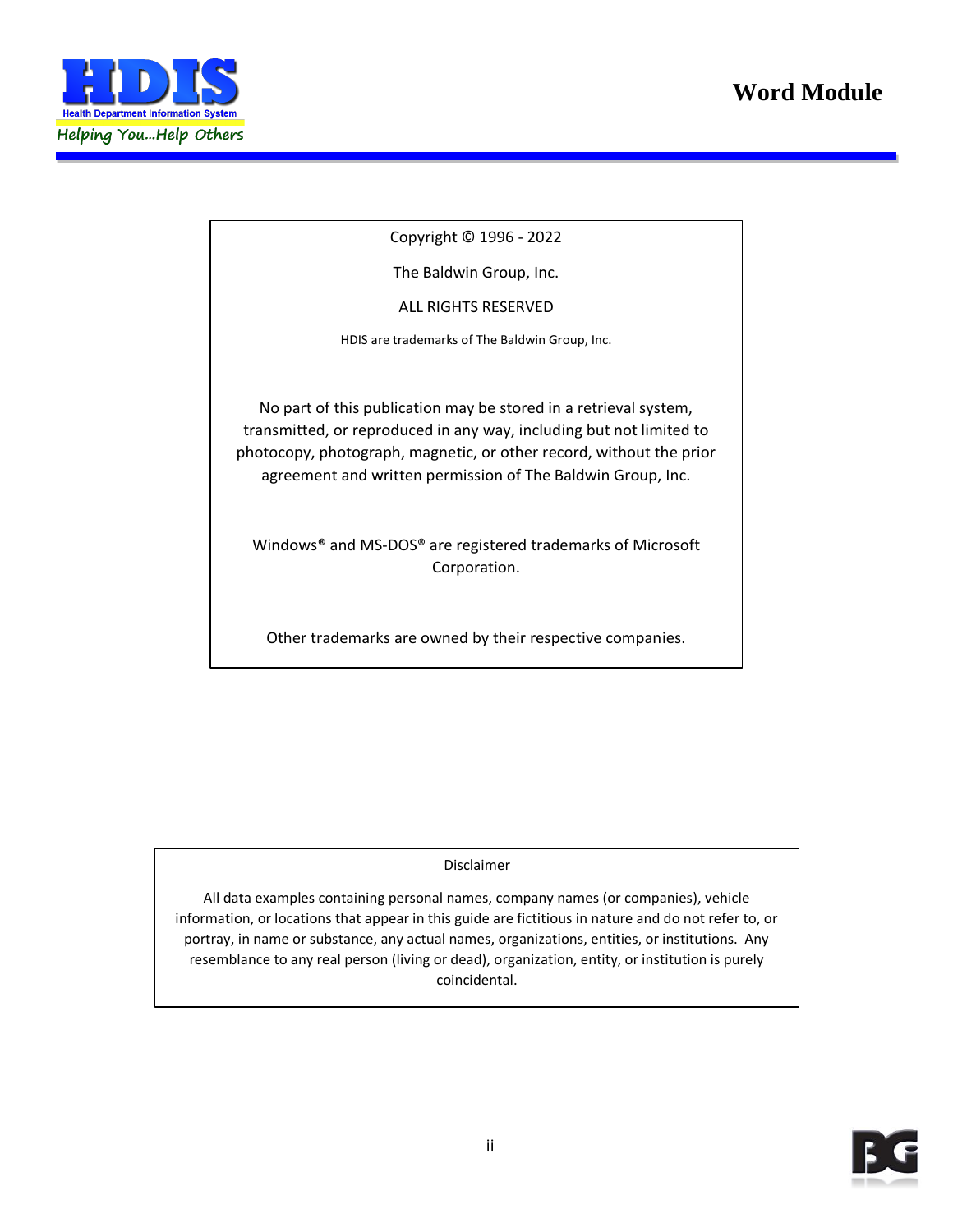

Copyright © 1996 - 2022

The Baldwin Group, Inc.

ALL RIGHTS RESERVED

HDIS are trademarks of The Baldwin Group, Inc.

No part of this publication may be stored in a retrieval system, transmitted, or reproduced in any way, including but not limited to photocopy, photograph, magnetic, or other record, without the prior agreement and written permission of The Baldwin Group, Inc.

Windows® and MS-DOS® are registered trademarks of Microsoft Corporation.

Other trademarks are owned by their respective companies.

**THE FURNISH** POST OF THE FURNISHING, PERFORMANCE, OR USE OF THE PURISHING, OR USE OF THE PURISHING OF THE PURISHING OF THE PURISHING OF THE PURISHING OF THE PURISHING OF THE PURISHING OF THE PURISHING OF THE PURISHING OF THE MATERIAL SERVICE.

All data examples containing personal names, company names (or companies), vehicle information, or locations that appear in this guide are fictitious in nature and do not refer to, or portray, in name or substance, any actual names, organizations, entities, or institutions. Any resemblance to any real person (living or dead), organization, entity, or institution is purely coincidental.

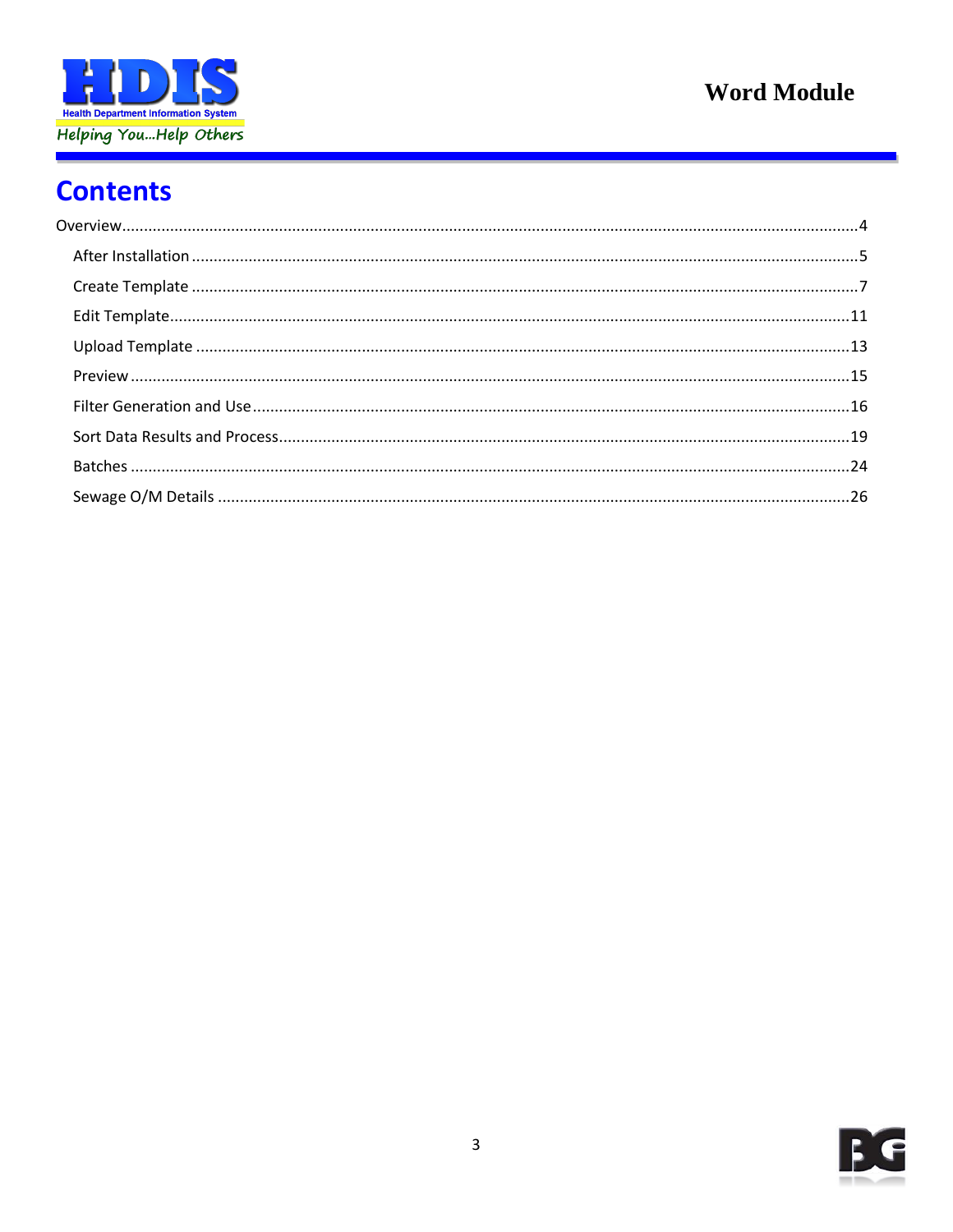

# **Contents**

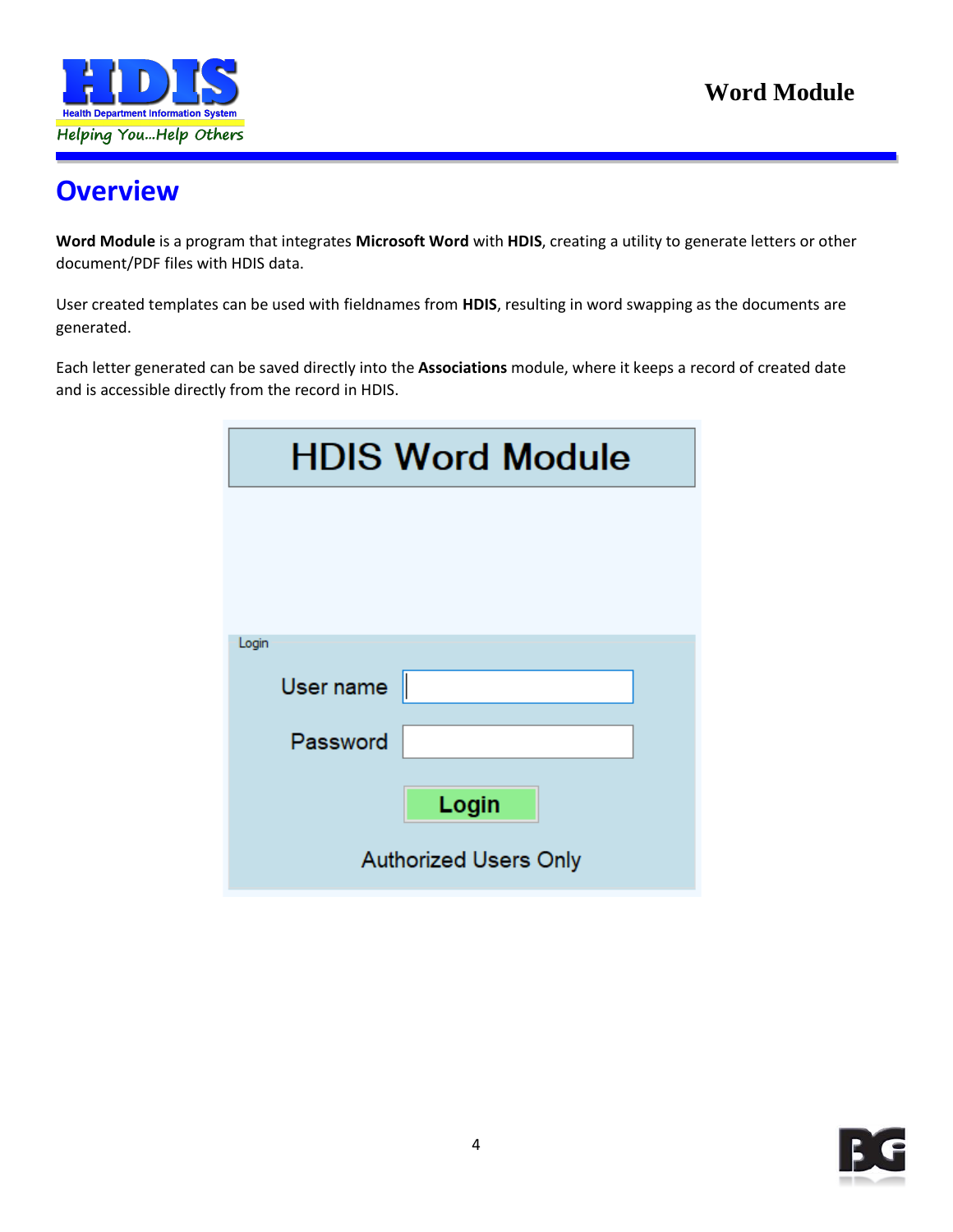

# <span id="page-3-0"></span>**Overview**

**Word Module** is a program that integrates **Microsoft Word** with **HDIS**, creating a utility to generate letters or other document/PDF files with HDIS data.

User created templates can be used with fieldnames from **HDIS**, resulting in word swapping as the documents are generated.

Each letter generated can be saved directly into the **Associations** module, where it keeps a record of created date and is accessible directly from the record in HDIS.

| <b>HDIS Word Module</b>      |
|------------------------------|
|                              |
|                              |
| Login                        |
| User name                    |
| Password                     |
| Login                        |
| <b>Authorized Users Only</b> |

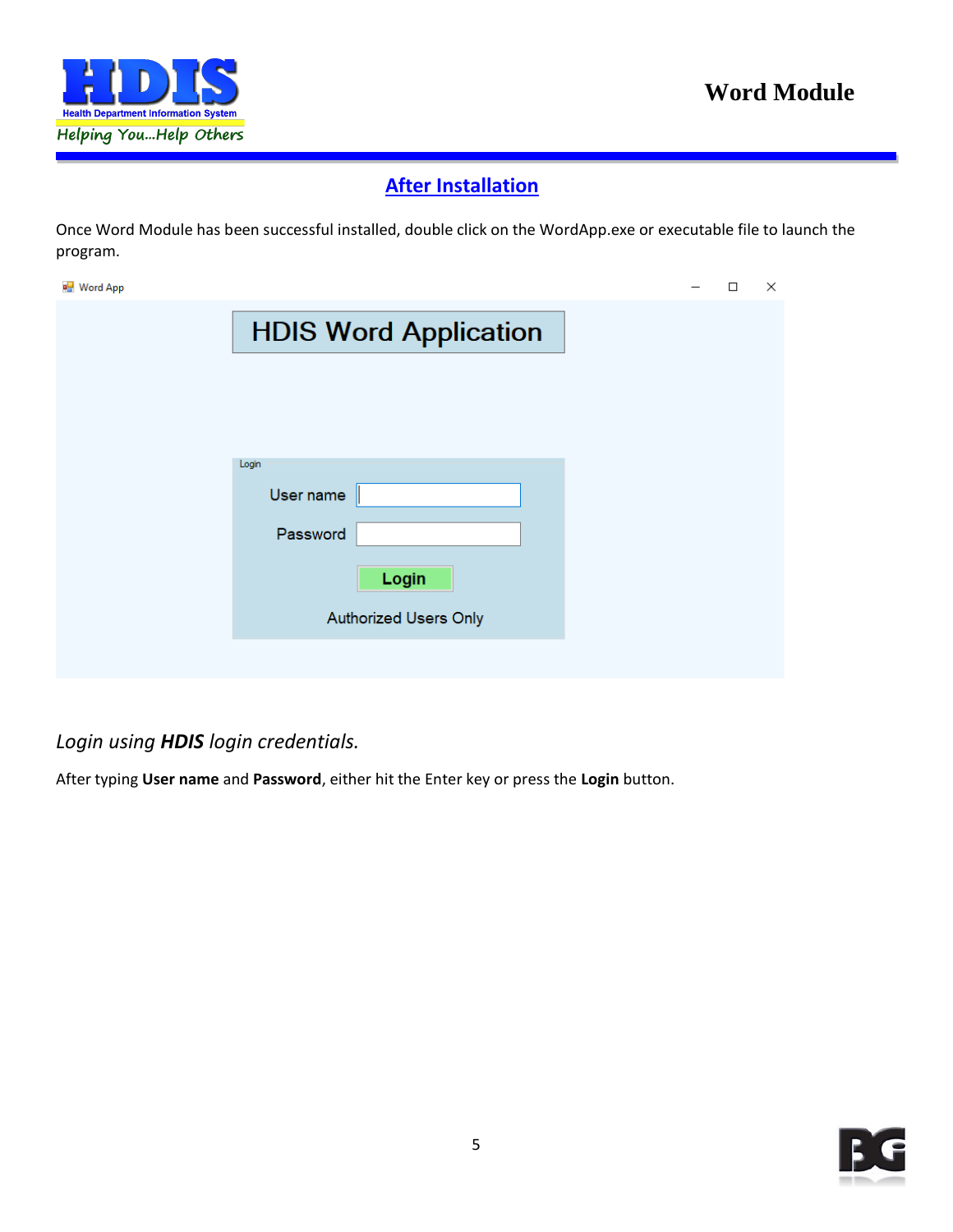

#### **After Installation**

<span id="page-4-0"></span>Once Word Module has been successful installed, double click on the WordApp.exe or executable file to launch the program.

| ■ Word App |                              | $\Box$ | $\times$ |
|------------|------------------------------|--------|----------|
|            | <b>HDIS Word Application</b> |        |          |
|            |                              |        |          |
|            |                              |        |          |
|            | Login<br>User name           |        |          |
|            | Password                     |        |          |
|            | Login                        |        |          |
|            | <b>Authorized Users Only</b> |        |          |
|            |                              |        |          |
|            |                              |        |          |

#### *Login using HDIS login credentials.*

After typing **User name** and **Password**, either hit the Enter key or press the **Login** button.

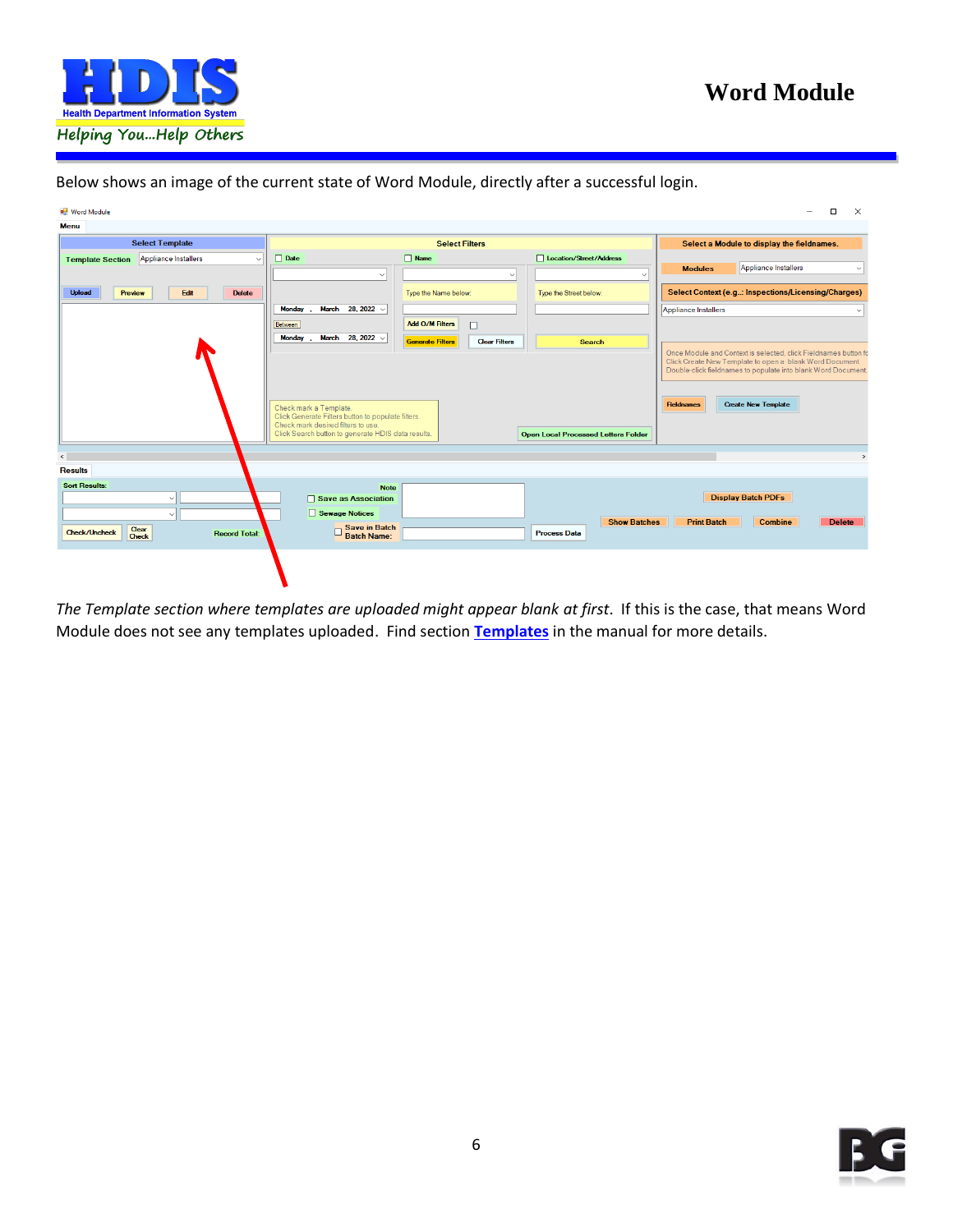

| <b>Nord Module</b>                                                      |                                                                                                                                                                          |                                                 |                                            | $\Box$<br>$\times$<br>$\equiv$                                                                                                                                               |
|-------------------------------------------------------------------------|--------------------------------------------------------------------------------------------------------------------------------------------------------------------------|-------------------------------------------------|--------------------------------------------|------------------------------------------------------------------------------------------------------------------------------------------------------------------------------|
| <b>Menu</b>                                                             |                                                                                                                                                                          |                                                 |                                            |                                                                                                                                                                              |
| <b>Select Template</b>                                                  |                                                                                                                                                                          | <b>Select Filters</b>                           |                                            | Select a Module to display the fieldnames.                                                                                                                                   |
| Appliance Installers<br><b>Template Section</b><br>$\ddot{\phantom{0}}$ | $\Box$ Date                                                                                                                                                              | $\Box$ Name                                     | Location/Street/Address                    |                                                                                                                                                                              |
|                                                                         | $\checkmark$                                                                                                                                                             | $\checkmark$                                    |                                            | Appliance Installers<br><b>Modules</b><br>$\checkmark$                                                                                                                       |
| <b>Upload</b><br>Edit<br><b>Delete</b><br>Preview                       |                                                                                                                                                                          | Type the Name below:                            | Type the Street below:                     | Select Context (e.g: Inspections/Licensing/Charges)                                                                                                                          |
|                                                                         | March 28, 2022 $\vee$<br>Monday.                                                                                                                                         |                                                 |                                            | Appliance Installers                                                                                                                                                         |
|                                                                         | Between                                                                                                                                                                  | Add O/M Filters<br>$\Box$                       |                                            |                                                                                                                                                                              |
|                                                                         | Monday .<br>March 28, 2022 $\vee$                                                                                                                                        | <b>Generate Filters</b><br><b>Clear Filters</b> | <b>Search</b>                              |                                                                                                                                                                              |
| $\leq$                                                                  | Check mark a Template.<br>Click Generate Filters button to populate filters.<br>Check mark desired filters to use.<br>Click Search button to generate HDIS data results. |                                                 | <b>Open Local Processed Letters Folder</b> | Click Create New Template to open a blank Word Document.<br>Double-click fieldnames to populate into blank Word Document.<br><b>Create New Template</b><br><b>Fieldnames</b> |
| <b>Results</b>                                                          |                                                                                                                                                                          |                                                 |                                            |                                                                                                                                                                              |
| <b>Sort Results:</b><br>$\checkmark$<br>$\sim$                          | <b>Note</b><br>Save as Association<br>Sewage Notices                                                                                                                     |                                                 |                                            | <b>Display Batch PDFs</b>                                                                                                                                                    |
| Clear<br><b>Check/Uncheck</b><br><b>Record Total:</b><br><b>Check</b>   | Save in Batch<br>Batch Name:                                                                                                                                             |                                                 | <b>Show Batches</b><br><b>Process Data</b> | <b>Print Batch</b><br><b>Combine</b><br><b>Delete</b>                                                                                                                        |
|                                                                         |                                                                                                                                                                          |                                                 |                                            |                                                                                                                                                                              |

Below shows an image of the current state of Word Module, directly after a successful login.

*The Template section where templates are uploaded might appear blank at first*. If this is the case, that means Word Module does not see any templates uploaded. Find section **[Templates](#page-6-0)** in the manual for more details.

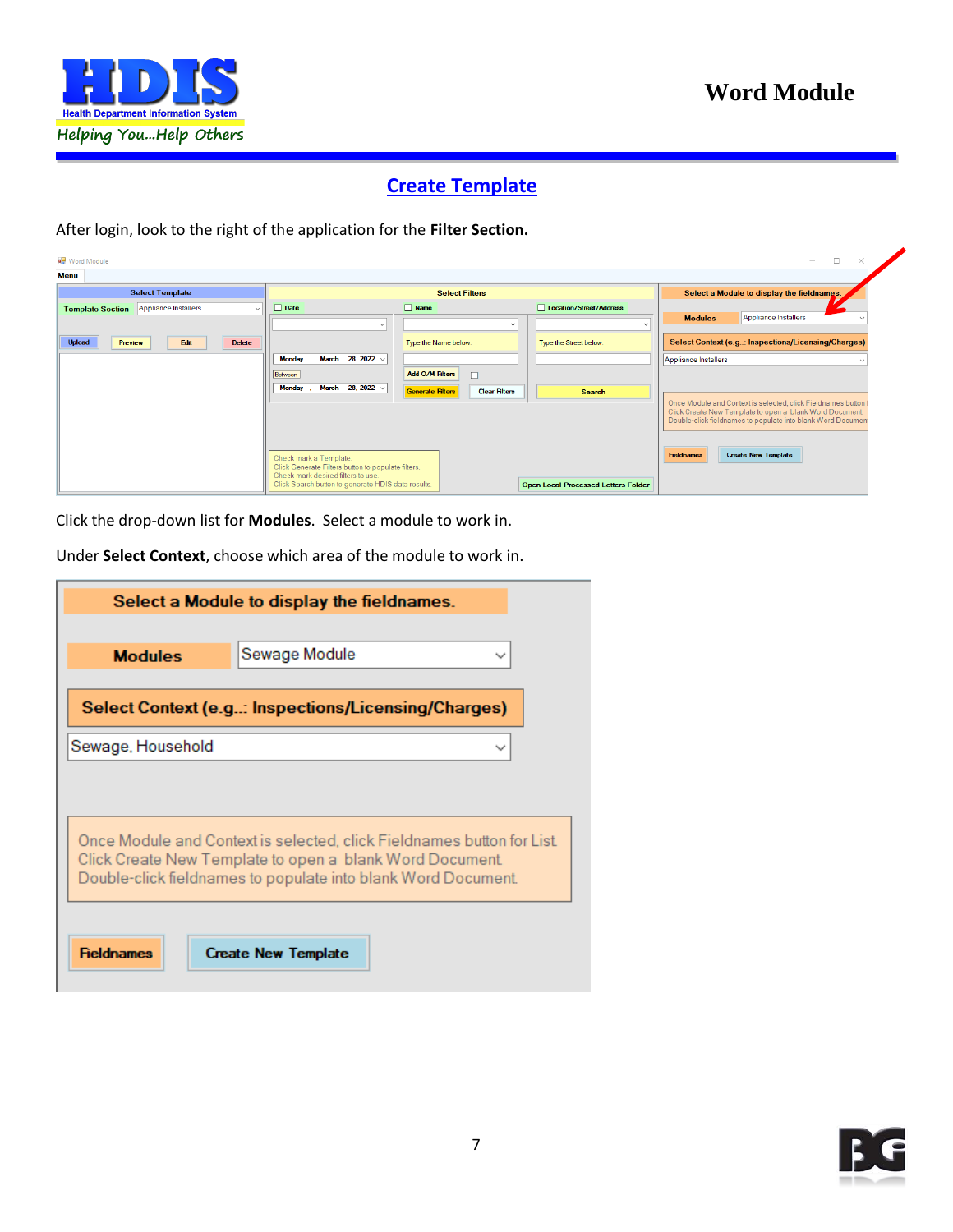

#### **Create Template**

<span id="page-6-0"></span>After login, look to the right of the application for the **Filter Section.**

|                                                                                          |                                                                                       | $\Box$<br>$\times$<br>$\overline{\phantom{a}}$                 |
|------------------------------------------------------------------------------------------|---------------------------------------------------------------------------------------|----------------------------------------------------------------|
|                                                                                          |                                                                                       |                                                                |
| <b>Select Filters</b>                                                                    |                                                                                       | Select a Module to display the fieldnames.                     |
| $\Box$ Name<br>$\Box$ Date                                                               | Location/Street/Address                                                               | Appliance Installers<br><b>Modules</b>                         |
| $\checkmark$<br>$\sim$                                                                   | $\sim$                                                                                |                                                                |
| Type the Name below:                                                                     | Type the Street below:                                                                | Select Context (e.g: Inspections/Licensing/Charges)            |
| March 28, 2022 v<br><b>Monday</b>                                                        |                                                                                       | Appliance Installers                                           |
| <b>Add O/M Filters</b><br>$\Box$<br>Between                                              |                                                                                       |                                                                |
| Generate Filters<br><b>Clear Filters</b>                                                 | <b>Search</b>                                                                         | Once Module and Context is selected, click Fieldnames button f |
|                                                                                          |                                                                                       | Click Create New Template to open a blank Word Document.       |
|                                                                                          |                                                                                       | Double-click fieldnames to populate into blank Word Document   |
|                                                                                          |                                                                                       |                                                                |
| Check mark a Template.                                                                   |                                                                                       | <b>Create New Template</b><br><b>Fieldnames</b>                |
| Check mark desired filters to use.<br>Click Search button to generate HDIS data results. |                                                                                       |                                                                |
|                                                                                          | March 28, 2022 $\vee$<br>Monday<br>Click Generate Filters button to populate filters. | <b>Open Local Processed Letters Folder</b>                     |

Click the drop-down list for **Modules**. Select a module to work in.

Under **Select Context**, choose which area of the module to work in.

|                   | Select a Module to display the fieldnames.                                                                                |
|-------------------|---------------------------------------------------------------------------------------------------------------------------|
|                   |                                                                                                                           |
| <b>Modules</b>    | Sewage Module                                                                                                             |
|                   | Select Context (e.g: Inspections/Licensing/Charges)                                                                       |
| Sewage, Household |                                                                                                                           |
|                   |                                                                                                                           |
|                   |                                                                                                                           |
|                   |                                                                                                                           |
|                   | Once Module and Context is selected, click Fieldnames button for List.                                                    |
|                   | Click Create New Template to open a blank Word Document.<br>Double-click fieldnames to populate into blank Word Document. |
|                   |                                                                                                                           |
| <b>Fieldnames</b> | <b>Create New Template</b>                                                                                                |

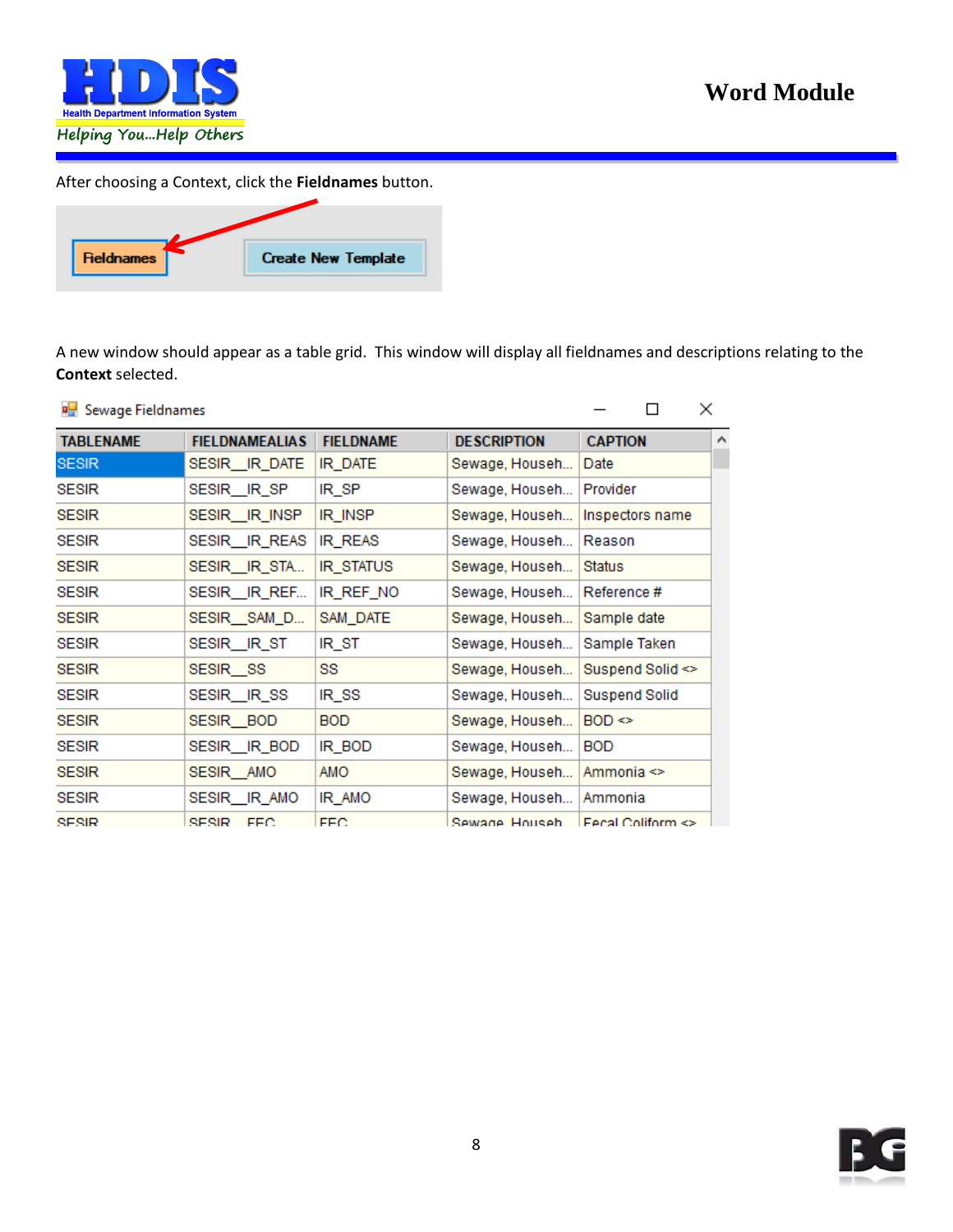

After choosing a Context, click the **Fieldnames** button.



A new window should appear as a table grid. This window will display all fieldnames and descriptions relating to the **Context** selected.

| <b>PH</b> Sewage Fieldnames |                            |                  |                    | П                                       | ×                   |
|-----------------------------|----------------------------|------------------|--------------------|-----------------------------------------|---------------------|
| <b>TABLENAME</b>            | <b>FIELDNAMEALIAS</b>      | <b>FIELDNAME</b> | <b>DESCRIPTION</b> | <b>CAPTION</b>                          | $\hat{\phantom{1}}$ |
| <b>SESIR</b>                | SESIR__IR_DATE             | IR_DATE          | Sewage, Househ     | Date                                    |                     |
| <b>SESIR</b>                | SESIR_IR_SP                | IR_SP            | Sewage, Househ     | Provider                                |                     |
| <b>SESIR</b>                | SESIR <sub>LIR</sub> INSP  | IR_INSP          | Sewage, Househ     | Inspectors name                         |                     |
| <b>SESIR</b>                | SESIR <sub>IR REAS</sub>   | IR REAS          | Sewage, Househ     | Reason                                  |                     |
| <b>SESIR</b>                | SESIR_IR_STA               | IR_STATUS        | Sewage, Househ     | <b>Status</b>                           |                     |
| <b>SESIR</b>                | SESIR IR REF               | IR REF NO        | Sewage, Househ     | Reference #                             |                     |
| <b>SESIR</b>                | SESIR_SAM_D                | SAM_DATE         | Sewage, Househ     | Sample date                             |                     |
| <b>SESIR</b>                | SESIR_IR_ST                | IR_ST            | Sewage, Househ     | Sample Taken                            |                     |
| <b>SESIR</b>                | SESIR_SS                   | SS               | Sewage, Househ     | Suspend Solid $\leq$                    |                     |
| <b>SESIR</b>                | SESIR_IR_SS                | IR_SS            | Sewage, Househ     | Suspend Solid                           |                     |
| <b>SESIR</b>                | SESIR_BOD                  | <b>BOD</b>       | Sewage, Househ     | $BOD \Leftrightarrow$                   |                     |
| <b>SESIR</b>                | SESIR <sub>__</sub> IR_BOD | IR_BOD           | Sewage, Househ     | <b>BOD</b>                              |                     |
| <b>SESIR</b>                | SESIR AMO                  | AMO              | Sewage, Househ     | Ammonia <>                              |                     |
| <b>SESIR</b>                | SESIR_IR_AMO               | IR_AMO           | Sewage, Househ     | Ammonia                                 |                     |
| SESIR                       | SESIR FEC                  | FFC.             | Sewane Househ      | <b>Eecal Coliform <math>\leq</math></b> |                     |

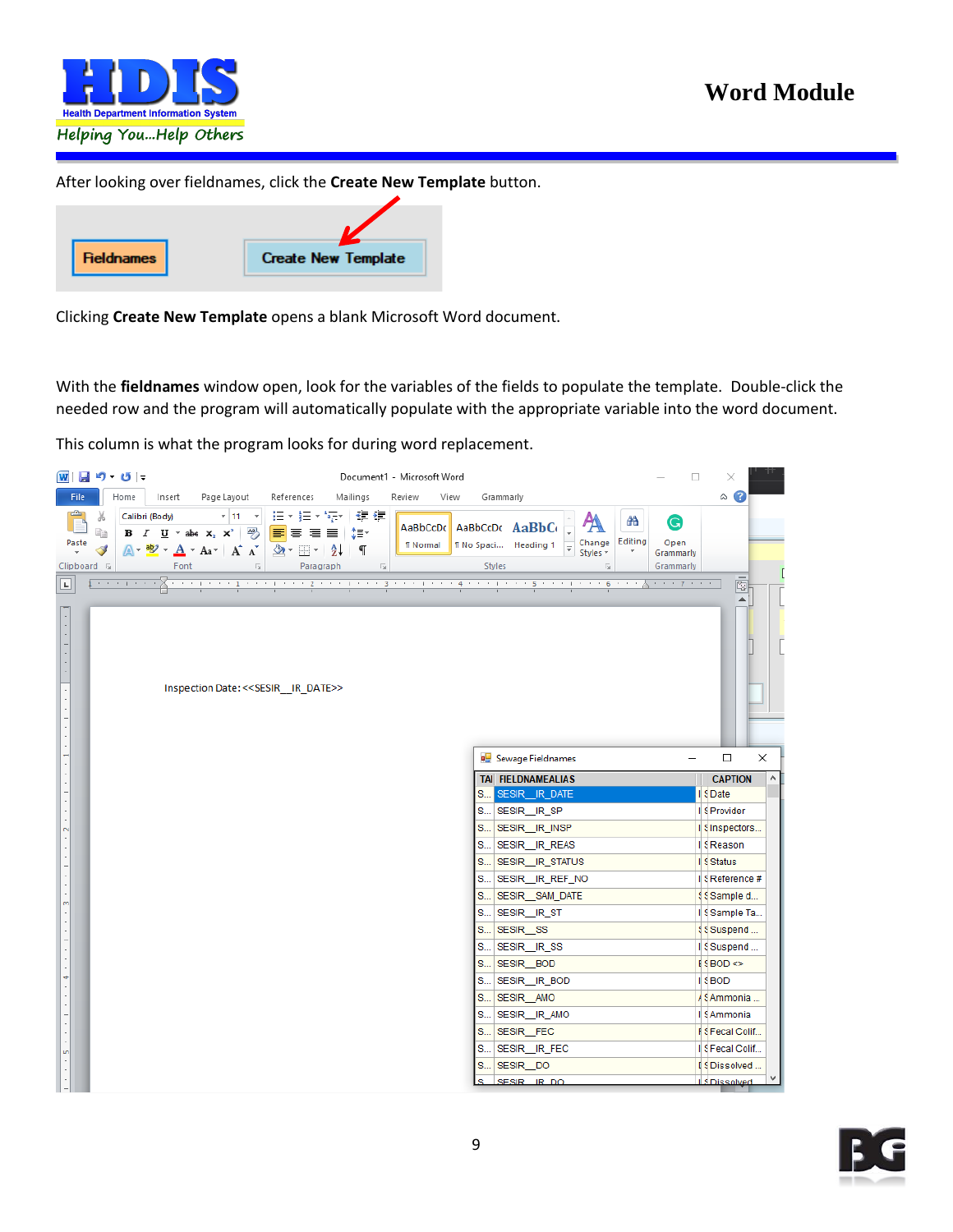

After looking over fieldnames, click the **Create New Template** button.

| <b>Fieldnames</b> | <b>Create New Template</b> |
|-------------------|----------------------------|

Clicking **Create New Template** opens a blank Microsoft Word document.

With the **fieldnames** window open, look for the variables of the fields to populate the template. Double-click the needed row and the program will automatically populate with the appropriate variable into the word document.

This column is what the program looks for during word replacement.

|                                                   |                            | W目り−じー |                |                                                                                                                                                                                                                                                                                  |                               |                 | Document1 - Microsoft Word  |                                           |                                                                                                                                                                                                                                                                                                                                                                         |                                                                                 |              | □                                                        | ×                                                                                                                                                                                                                                                                                                                                              |                                    |
|---------------------------------------------------|----------------------------|--------|----------------|----------------------------------------------------------------------------------------------------------------------------------------------------------------------------------------------------------------------------------------------------------------------------------|-------------------------------|-----------------|-----------------------------|-------------------------------------------|-------------------------------------------------------------------------------------------------------------------------------------------------------------------------------------------------------------------------------------------------------------------------------------------------------------------------------------------------------------------------|---------------------------------------------------------------------------------|--------------|----------------------------------------------------------|------------------------------------------------------------------------------------------------------------------------------------------------------------------------------------------------------------------------------------------------------------------------------------------------------------------------------------------------|------------------------------------|
| File                                              |                            | Home   | Insert         | Page Layout                                                                                                                                                                                                                                                                      | References                    | Mailings        | Review                      | View                                      | Grammarly                                                                                                                                                                                                                                                                                                                                                               |                                                                                 |              |                                                          | $\circ$ $\bullet$                                                                                                                                                                                                                                                                                                                              |                                    |
| Paste<br>Clipboard <b>Is</b><br>$\vert$ L $\vert$ | Y.<br>B<br>$\triangleleft$ |        | Calibri (Body) | <b>B</b> $I$ <b>U</b> $\rightarrow$ abe $\mathbf{x}_2$ $\mathbf{x}^2$ $\mathbf{B}$ $\mathbf{E}$ $\mathbf{E}$ $\mathbf{E}$ $\mathbf{E}$ $\mathbf{E}$ $\mathbf{E}$<br>$A - B$ $\rightarrow$ $A - A$ $\rightarrow$ $A - A$ $\rightarrow$ $B - B$ $\rightarrow$ $B + B$<br>Font Fall | 세비 세 日* 細* 福* 健健<br>Paragraph | $\sim$ 100 $\%$ | AaBbCcDc<br><b>T</b> Normal |                                           | AaBbCcDc AaBbCc<br><b>T No Spaci Heading 1</b><br>Styles                                                                                                                                                                                                                                                                                                                | Ą<br>Change<br>$\overline{\mathbf{v}}$<br>Styles *<br>$\overline{\mathbb{F}_M}$ | æ<br>Editing | G<br>Open<br>Grammarly<br>Grammarly<br><b>CONTRACTOR</b> |                                                                                                                                                                                                                                                                                                                                                | $\overline{\overline{\mathbb{Q}}}$ |
|                                                   |                            |        |                | Inspection Date: << SESIR IR DATE>>                                                                                                                                                                                                                                              |                               |                 |                             |                                           |                                                                                                                                                                                                                                                                                                                                                                         |                                                                                 |              |                                                          |                                                                                                                                                                                                                                                                                                                                                | ▲                                  |
|                                                   |                            |        |                |                                                                                                                                                                                                                                                                                  |                               |                 |                             | S<br>S<br>S<br>S<br>S<br>S<br>S<br>S<br>S | <b>B</b> Sewage Fieldnames<br><b>TAI FIELDNAMEALIAS</b><br>S SESIR_IR_DATE<br>S SESIR_IR_SP<br>S   SESIR__IR_INSP<br>S   SESIR_IR_REAS<br>S   SESIR_IR_STATUS<br>SESIR_IR_REF_NO<br>SESIR_SAM_DATE<br>SESIR_IR_ST<br>SESIR_SS<br>SESIR_IR_SS<br>SESIR_BOD<br>SESIR_IR_BOD<br>S SESIR_AMO<br>S   SESIR__IR_AMO<br>S SESIR FEC<br>SESIR_IR_FEC<br>SESIR_DO<br>SESIR IR DO |                                                                                 |              | -                                                        | $\Box$<br><b>CAPTION</b><br>Il 9 Date<br>Il 9 Provider<br>I Sinspectors<br>I & Reason<br>I S Status<br>Il S Reference #<br><b>§Sample d</b><br>Il § Sample Ta<br><b>\$Suspend</b><br>I Suspend<br>$f$ SBOD $\Leftrightarrow$<br>I S BOD<br>/ § Ammonia<br>Il 9 Ammonia<br>Il S Fecal Colif<br>Il S Fecal Colif<br>I SDissolved<br>IS Dissolved | ×<br>$\wedge$<br>v                 |

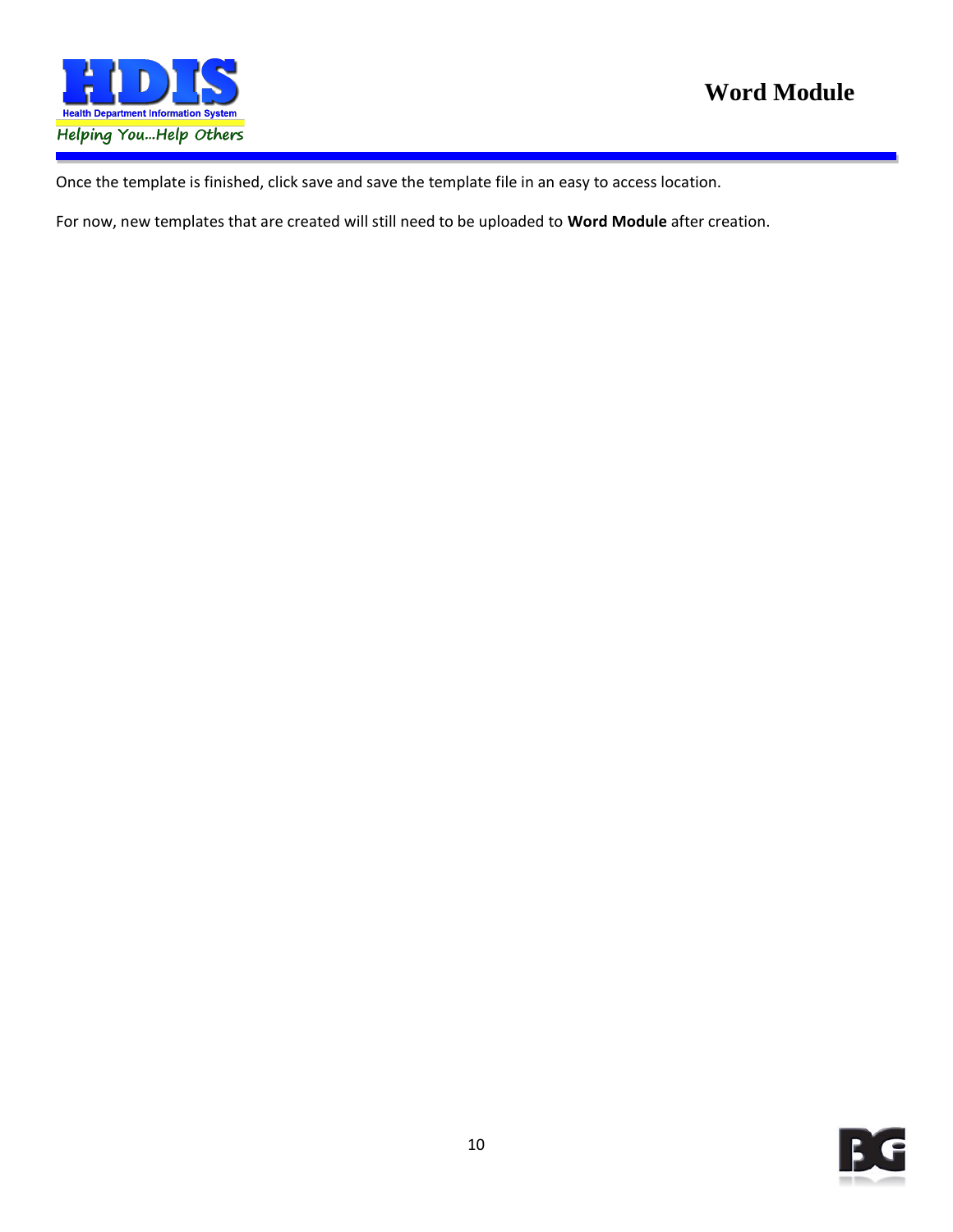

Once the template is finished, click save and save the template file in an easy to access location.

For now, new templates that are created will still need to be uploaded to **Word Module** after creation.

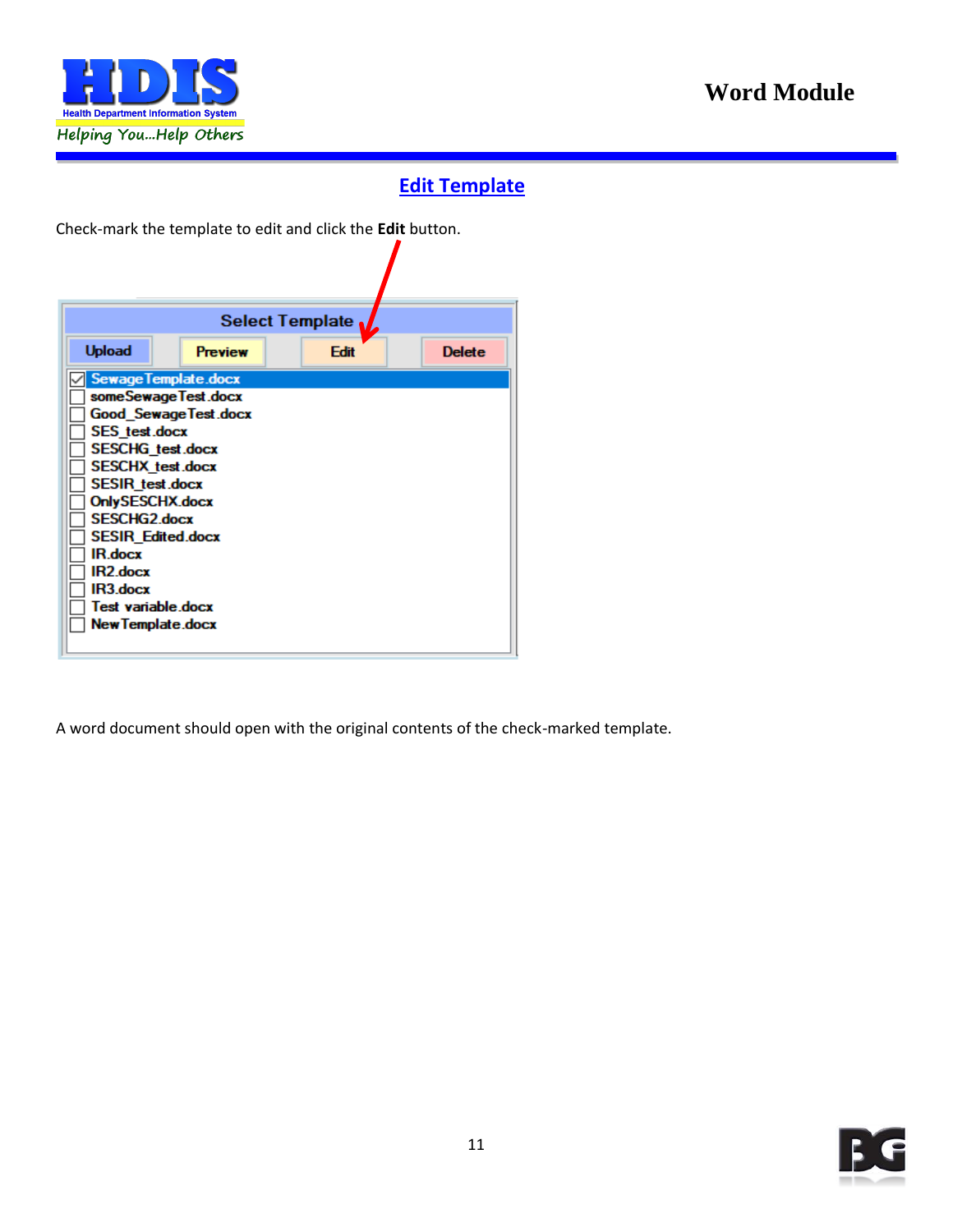

### **Edit Template**

7

<span id="page-10-0"></span>Check-mark the template to edit and click the **Edit** button.

|                             |                | Select Template |               |
|-----------------------------|----------------|-----------------|---------------|
| <b>Upload</b>               | <b>Preview</b> | Edit            | <b>Delete</b> |
| <b>Sewage Template.docx</b> |                |                 |               |
| someSewageTest.docx         |                |                 |               |
| <b>Good_SewageTest.docx</b> |                |                 |               |
| <b>SES</b> test.docx        |                |                 |               |
| <b>SESCHG</b> test.docx     |                |                 |               |
| <b>SESCHX</b> test.docx     |                |                 |               |
| SESIR_test.docx             |                |                 |               |
| OnlySESCHX.docx             |                |                 |               |
| <b>SESCHG2.docx</b>         |                |                 |               |
| <b>SESIR Edited.docx</b>    |                |                 |               |
| IR.docx                     |                |                 |               |
| IR2.docx                    |                |                 |               |
| IR3.docx                    |                |                 |               |
| Test variable.docx          |                |                 |               |
| <b>New Template.docx</b>    |                |                 |               |
|                             |                |                 |               |

A word document should open with the original contents of the check-marked template.

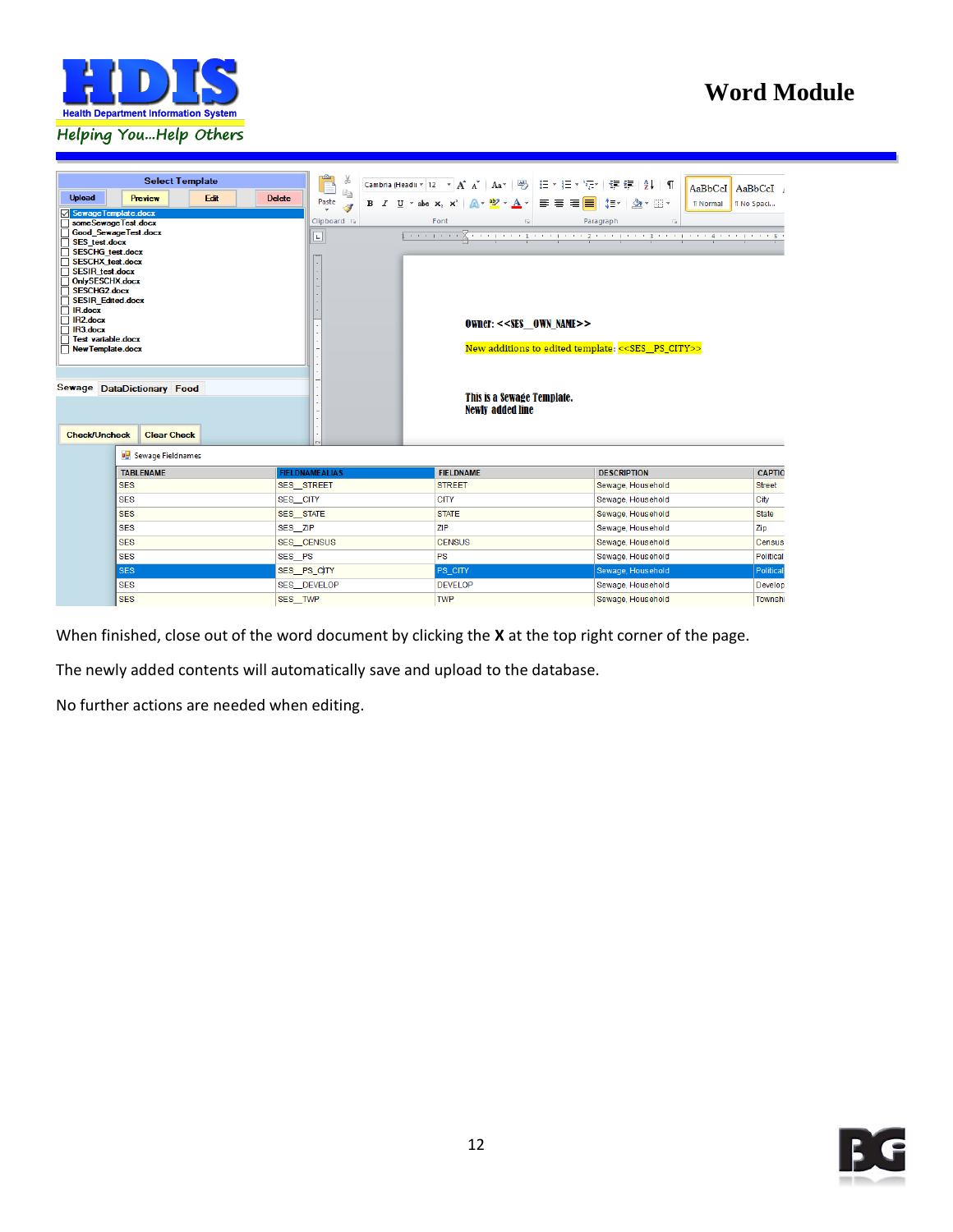



When finished, close out of the word document by clicking the **X** at the top right corner of the page.

The newly added contents will automatically save and upload to the database.

No further actions are needed when editing.

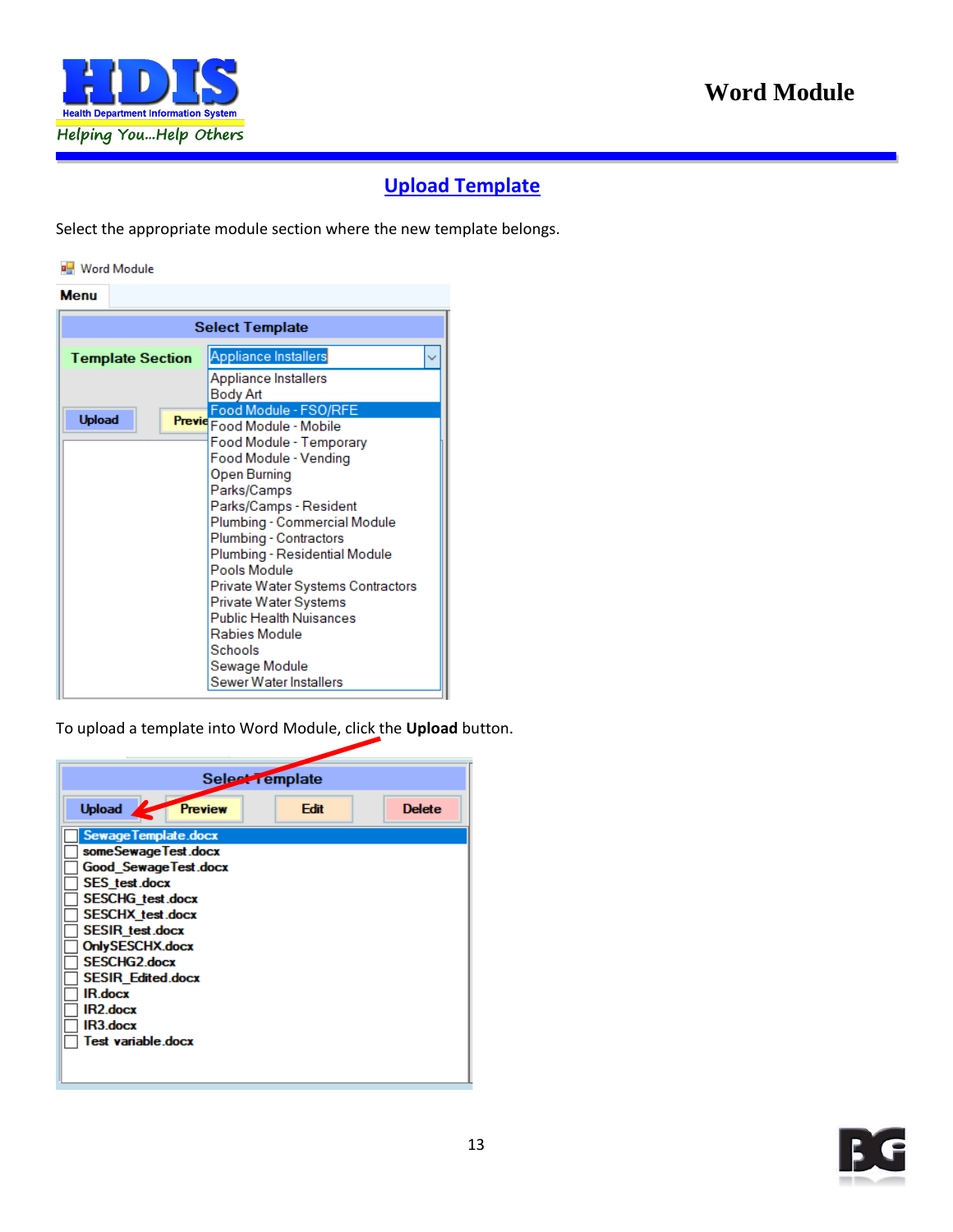

#### **Upload Template**

<span id="page-12-0"></span>Select the appropriate module section where the new template belongs.

#### Word Module

| <b>Menu</b>             |                                                                                                                                                                                                                      |  |  |  |  |  |
|-------------------------|----------------------------------------------------------------------------------------------------------------------------------------------------------------------------------------------------------------------|--|--|--|--|--|
| <b>Select Template</b>  |                                                                                                                                                                                                                      |  |  |  |  |  |
| <b>Template Section</b> | <b>Appliance Installers</b>                                                                                                                                                                                          |  |  |  |  |  |
|                         | Appliance Installers<br>Body Art                                                                                                                                                                                     |  |  |  |  |  |
| <b>Upload</b>           | Food Module - FSO/RFE<br>Previe Food Module - Mobile                                                                                                                                                                 |  |  |  |  |  |
|                         | Food Module - Temporary<br>Food Module - Vending<br>Open Burning<br>Parks/Camps<br>Parks/Camps - Resident<br>Plumbing - Commercial Module<br>Plumbing - Contractors<br>Plumbing - Residential Module<br>Pools Module |  |  |  |  |  |
|                         | Private Water Systems Contractors<br>Private Water Systems<br><b>Public Health Nuisances</b><br>Rabies Module<br>Schools<br>Sewage Module<br>Sewer Water Installers                                                  |  |  |  |  |  |

To upload a template into Word Module, click the **Upload** button.

| Select remplate                                                                                                                                                                                              |      |               |  |  |  |  |
|--------------------------------------------------------------------------------------------------------------------------------------------------------------------------------------------------------------|------|---------------|--|--|--|--|
| <b>Upload</b><br>Preview                                                                                                                                                                                     | Edit | <b>Delete</b> |  |  |  |  |
| <b>Sewage Template.docx</b><br>someSewageTest.docx<br><b>Good SewageTest.docx</b><br><b>SES</b> test.docx<br><b>SESCHG</b> test.docx<br><b>SESCHX</b> test.docx<br><b>SESIR</b> test.docx<br>OnlySESCHX.docx |      |               |  |  |  |  |
| <b>SESCHG2</b> docx<br><b>SESIR Edited.docx</b><br><b>IR.docx</b><br>IR2.docx<br>IR3.docx<br>Test variable.docx                                                                                              |      |               |  |  |  |  |

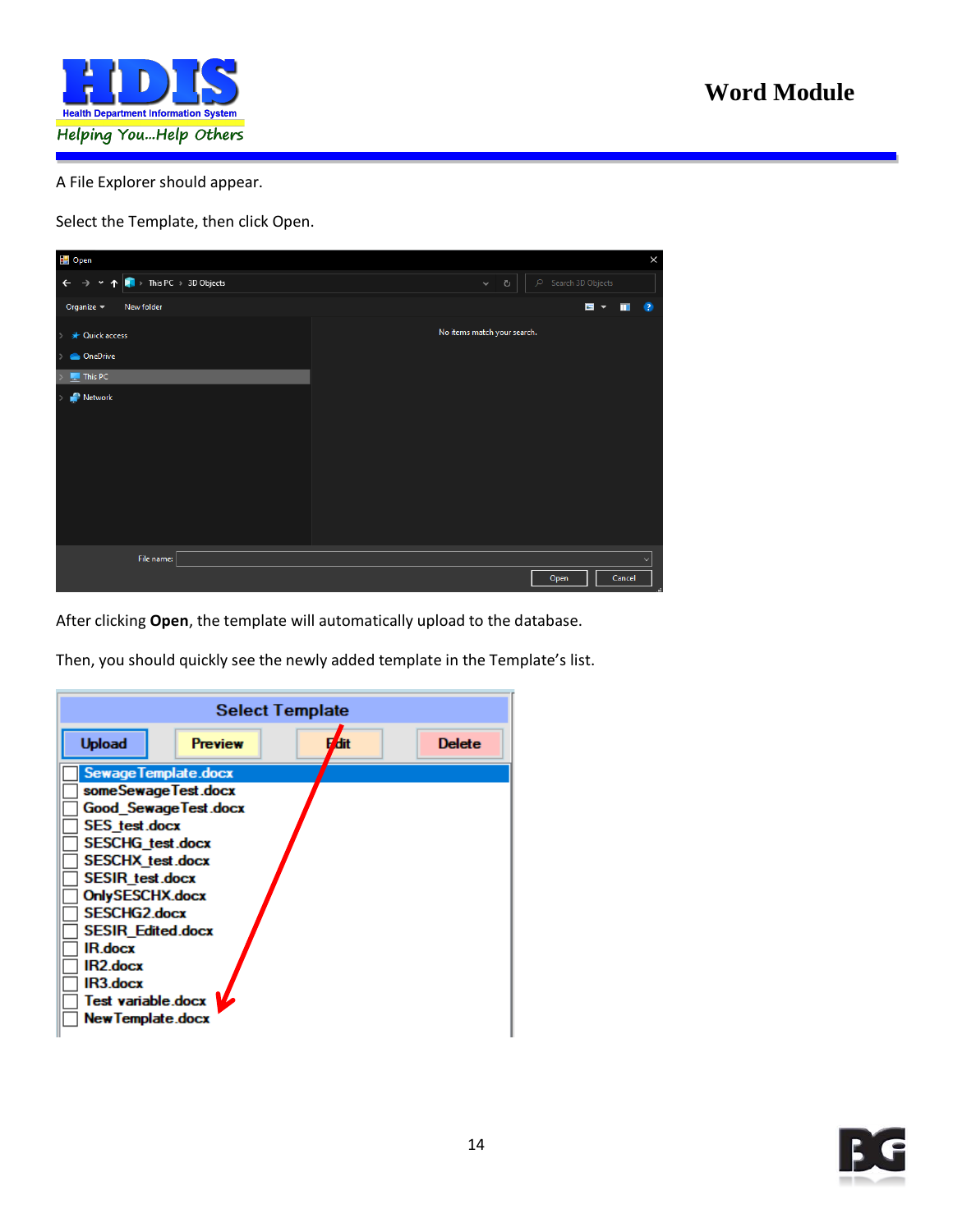

A File Explorer should appear.

Select the Template, then click Open.



After clicking **Open**, the template will automatically upload to the database.

Then, you should quickly see the newly added template in the Template's list.

|                                                                                                                                                                      |                | <b>Select Template</b> |               |
|----------------------------------------------------------------------------------------------------------------------------------------------------------------------|----------------|------------------------|---------------|
| <b>Upload</b>                                                                                                                                                        | <b>Preview</b> | dit                    | <b>Delete</b> |
| Sewage Template.docx<br>someSewageTest.docx<br>Good_SewageTest.docx<br><b>SES</b> test.docx<br><b>SESCHG</b> test.docx<br><b>SESCHX</b> test.docx<br>SESIR_test.docx |                |                        |               |
| OnlySESCHX.docx<br><b>SESCHG2.docx</b><br><b>SESIR Edited.docx</b><br>IR.docx<br>IR2.docx<br>IR3.docx<br>Test variable.docx<br><b>New Template.docx</b>              |                |                        |               |

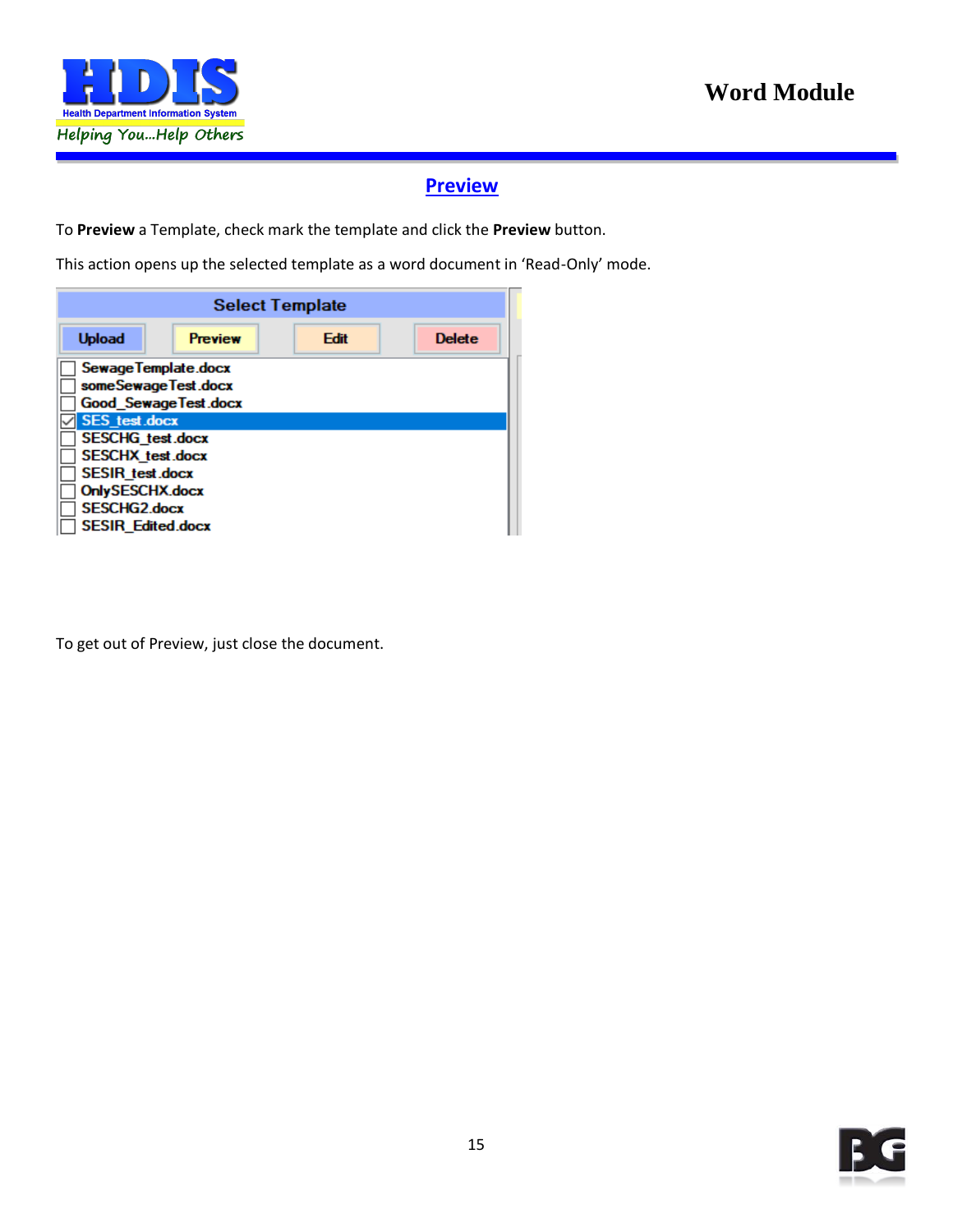

#### **Preview**

<span id="page-14-0"></span>To **Preview** a Template, check mark the template and click the **Preview** button.

This action opens up the selected template as a word document in 'Read-Only' mode.

| <b>Select Template</b>   |                       |      |               |  |
|--------------------------|-----------------------|------|---------------|--|
| <b>Upload</b>            | <b>Preview</b>        | Edit | <b>Delete</b> |  |
| Sewage Template.docx     |                       |      |               |  |
| someSewageTest.docx      |                       |      |               |  |
|                          | Good Sewage Test.docx |      |               |  |
| <b>SES</b> test docx     |                       |      |               |  |
| SESCHG_test.docx         |                       |      |               |  |
| <b>SESCHX</b> test.docx  |                       |      |               |  |
| SESIR_test.docx          |                       |      |               |  |
| OnlySESCHX.docx          |                       |      |               |  |
| <b>SESCHG2.docx</b>      |                       |      |               |  |
| <b>SESIR Edited.docx</b> |                       |      |               |  |

To get out of Preview, just close the document.

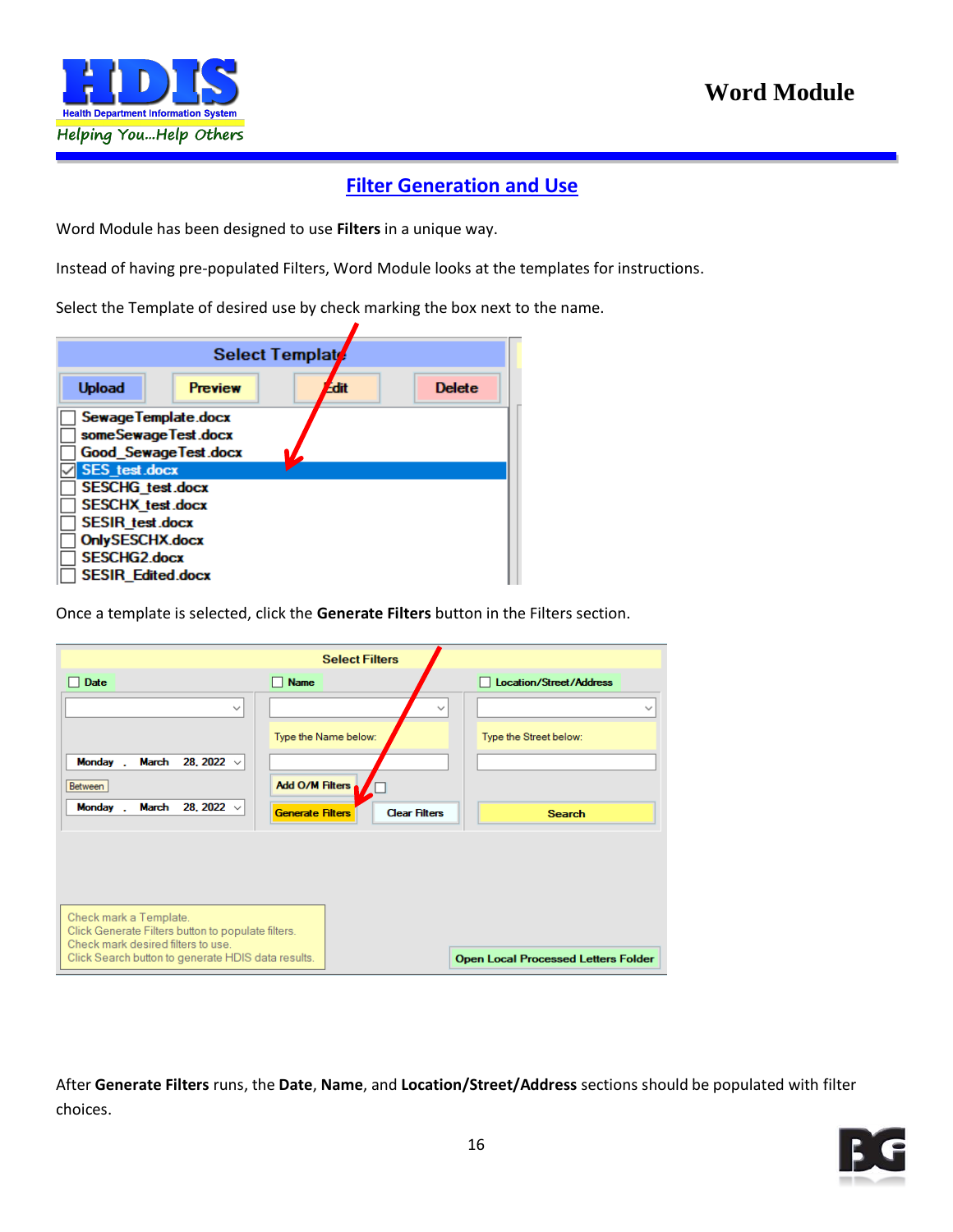

#### **Filter Generation and Use**

<span id="page-15-0"></span>Word Module has been designed to use **Filters** in a unique way.

Instead of having pre-populated Filters, Word Module looks at the templates for instructions.

Select the Template of desired use by check marking the box next to the name.

|                                                                                                                                                                            |                | Select Templat |               |
|----------------------------------------------------------------------------------------------------------------------------------------------------------------------------|----------------|----------------|---------------|
| <b>Upload</b>                                                                                                                                                              | <b>Preview</b> | <b>Edit</b>    | <b>Delete</b> |
| Sewage Template.docx<br>someSewageTest.docx<br><b>Good Sewage Test docx</b>                                                                                                |                |                |               |
| <b>SES</b> test.docx<br><b>SESCHG</b> test.docx<br><b>SESCHX</b> test.docx<br><b>SESIR</b> test.docx<br>OnlySESCHX.docx<br><b>SESCHG2.docx</b><br><b>SESIR Edited.docx</b> |                |                |               |

Once a template is selected, click the **Generate Filters** button in the Filters section.

|                                                                                                    | <b>Select Filters</b>                                              |                                            |
|----------------------------------------------------------------------------------------------------|--------------------------------------------------------------------|--------------------------------------------|
| <b>Date</b>                                                                                        | <b>Name</b>                                                        | <b>Location/Street/Address</b>             |
| $\checkmark$                                                                                       | $\checkmark$<br>Type the Name below:                               | $\checkmark$<br>Type the Street below:     |
| <b>Monday</b><br>March<br>28, 2022 $\sqrt{ }$<br>Between<br>28, 2022 $\sqrt{ }$<br>Monday<br>March | Add O/M Filters<br><b>Clear Filters</b><br><b>Generate Filters</b> | <b>Search</b>                              |
|                                                                                                    |                                                                    |                                            |
| Check mark a Template.<br>Click Generate Filters button to populate filters.                       |                                                                    |                                            |
| Check mark desired filters to use.<br>Click Search button to generate HDIS data results.           |                                                                    | <b>Open Local Processed Letters Folder</b> |

After **Generate Filters** runs, the **Date**, **Name**, and **Location/Street/Address** sections should be populated with filter choices.

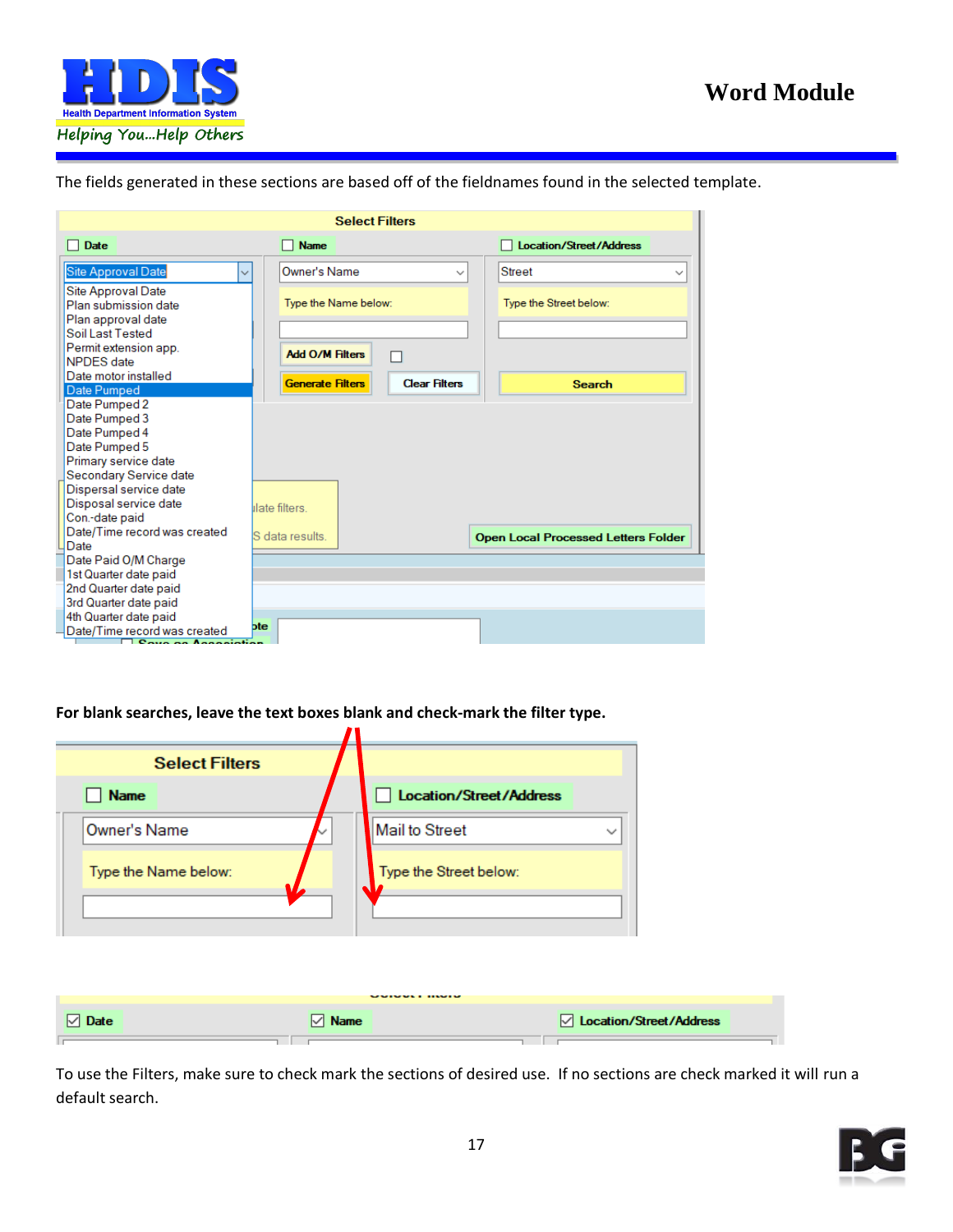

The fields generated in these sections are based off of the fieldnames found in the selected template.

|                                                                  |                         | <b>Select Filters</b> |                                            |
|------------------------------------------------------------------|-------------------------|-----------------------|--------------------------------------------|
| <b>Date</b>                                                      | <b>Name</b>             |                       | <b>Location/Street/Address</b>             |
| Site Approval Date<br>$\checkmark$                               | Owner's Name            | $\checkmark$          | <b>Street</b><br>$\checkmark$              |
| Site Approval Date<br>Plan submission date<br>Plan approval date | Type the Name below:    |                       | Type the Street below:                     |
| Soil Last Tested<br>Permit extension app.<br><b>NPDES</b> date   | <b>Add O/M Filters</b>  |                       |                                            |
| Date motor installed<br>Date Pumped                              | <b>Generate Filters</b> | <b>Clear Filters</b>  | <b>Search</b>                              |
| Date Pumped 2                                                    |                         |                       |                                            |
| Date Pumped 3                                                    |                         |                       |                                            |
| Date Pumped 4                                                    |                         |                       |                                            |
| Date Pumped 5                                                    |                         |                       |                                            |
| Primary service date                                             |                         |                       |                                            |
| Secondary Service date                                           |                         |                       |                                            |
| Dispersal service date                                           |                         |                       |                                            |
| Disposal service date                                            | ilate filters           |                       |                                            |
| Con.-date paid                                                   |                         |                       |                                            |
| Date/Time record was created<br>Date                             | S data results.         |                       | <b>Open Local Processed Letters Folder</b> |
| Date Paid O/M Charge                                             |                         |                       |                                            |
| 1st Quarter date paid                                            |                         |                       |                                            |
| 2nd Quarter date paid                                            |                         |                       |                                            |
| 3rd Quarter date paid                                            |                         |                       |                                            |
| 4th Quarter date paid                                            |                         |                       |                                            |
| Date/Time record was created                                     | bte                     |                       |                                            |
| $P_{\text{max}}$ as Association                                  |                         |                       |                                            |

**For blank searches, leave the text boxes blank and check-mark the filter type.**

| <b>Select Filters</b> |                  |                                                                                       |
|-----------------------|------------------|---------------------------------------------------------------------------------------|
| <b>Name</b>           |                  | Location/Street/Address                                                               |
| <b>Owner's Name</b>   |                  | <b>Mail to Street</b><br>$\checkmark$                                                 |
| Type the Name below:  |                  | Type the Street below:                                                                |
|                       |                  |                                                                                       |
|                       |                  |                                                                                       |
|                       |                  |                                                                                       |
| <b>Date</b><br>∨      | <b>Name</b><br>∨ | $\mathbf{r}$ . The set of $\mathbf{r}$<br><b><del>○</del></b> Location/Street/Address |

To use the Filters, make sure to check mark the sections of desired use. If no sections are check marked it will run a default search.

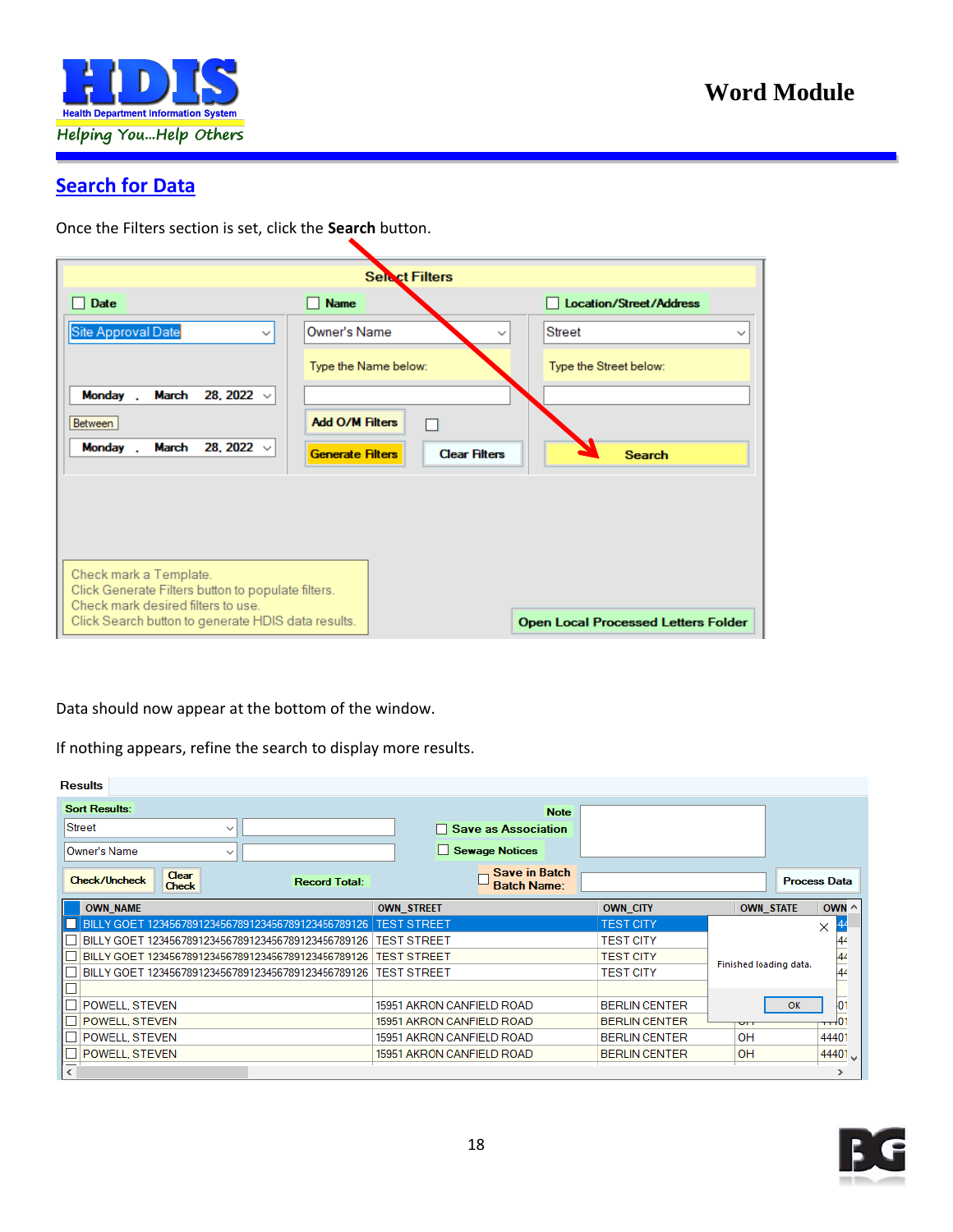

#### **Search for Data**

Once the Filters section is set, click the **Search** button.

|                                                                                                                    | <b>Select Filters</b>                           |                                            |
|--------------------------------------------------------------------------------------------------------------------|-------------------------------------------------|--------------------------------------------|
| <b>Date</b>                                                                                                        | <b>Name</b>                                     | <b>Location/Street/Address</b><br>. .      |
| Site Approval Date<br>$\checkmark$                                                                                 | Owner's Name<br>$\checkmark$                    | <b>Street</b><br>$\checkmark$              |
|                                                                                                                    | Type the Name below:                            | Type the Street below:                     |
| 28, 2022 $\sqrt{ }$<br><b>Monday</b><br>March                                                                      |                                                 |                                            |
| Between                                                                                                            | <b>Add O/M Filters</b>                          |                                            |
| Monday<br>March<br>28, 2022 $\sqrt{ }$                                                                             | <b>Clear Filters</b><br><b>Generate Filters</b> | <b>Search</b>                              |
|                                                                                                                    |                                                 |                                            |
|                                                                                                                    |                                                 |                                            |
|                                                                                                                    |                                                 |                                            |
| Check mark a Template.<br>Click Generate Filters button to populate filters.<br>Check mark desired filters to use. |                                                 |                                            |
| Click Search button to generate HDIS data results.                                                                 |                                                 | <b>Open Local Processed Letters Folder</b> |

Data should now appear at the bottom of the window.

If nothing appears, refine the search to display more results.

| <b>Results</b>                                                        |                                            |                      |                        |                     |
|-----------------------------------------------------------------------|--------------------------------------------|----------------------|------------------------|---------------------|
| <b>Sort Results:</b>                                                  | <b>Note</b>                                |                      |                        |                     |
| <b>Street</b><br>$\checkmark$                                         | □ Save as Association                      |                      |                        |                     |
| <b>Owner's Name</b><br>$\checkmark$                                   | Sewage Notices                             |                      |                        |                     |
| Clear<br><b>Check/Uncheck</b><br><b>Record Total:</b><br><b>Check</b> | <b>Save in Batch</b><br><b>Batch Name:</b> |                      |                        | <b>Process Data</b> |
| <b>OWN_NAME</b>                                                       | <b>OWN_STREET</b>                          | <b>OWN_CITY</b>      | <b>OWN_STATE</b>       | OWN ^               |
| BILLY GOET 123456789123456789123456789123456789126                    | <b>TEST STREET</b>                         | <b>TEST CITY</b>     |                        | X                   |
| BILLY GOET 123456789123456789123456789123456789126                    | <b>TEST STREET</b>                         | <b>TEST CITY</b>     |                        | 44                  |
| BILLY GOET 123456789123456789123456789123456789126                    | <b>TEST STREET</b>                         | <b>TEST CITY</b>     |                        | 44                  |
| BILLY GOET 123456789123456789123456789123456789126                    | <b>TEST STREET</b>                         | <b>TEST CITY</b>     | Finished loading data. | 44                  |
|                                                                       |                                            |                      |                        |                     |
| <b>POWELL, STEVEN</b>                                                 | 15951 AKRON CANFIELD ROAD                  | <b>BERLIN CENTER</b> | OK                     | 01                  |
| <b>POWELL, STEVEN</b>                                                 | 15951 AKRON CANFIELD ROAD                  | <b>BERLIN CENTER</b> | UП                     | $-10^{-}$           |
| <b>POWELL, STEVEN</b>                                                 | 15951 AKRON CANFIELD ROAD                  | <b>BERLIN CENTER</b> | OH                     | 44401               |
| <b>POWELL STEVEN</b>                                                  | 15951 AKRON CANFIELD ROAD                  | <b>BERLIN CENTER</b> | OH                     | 44401 V             |
| $\left\langle \right\rangle$                                          |                                            |                      |                        | ⋗                   |

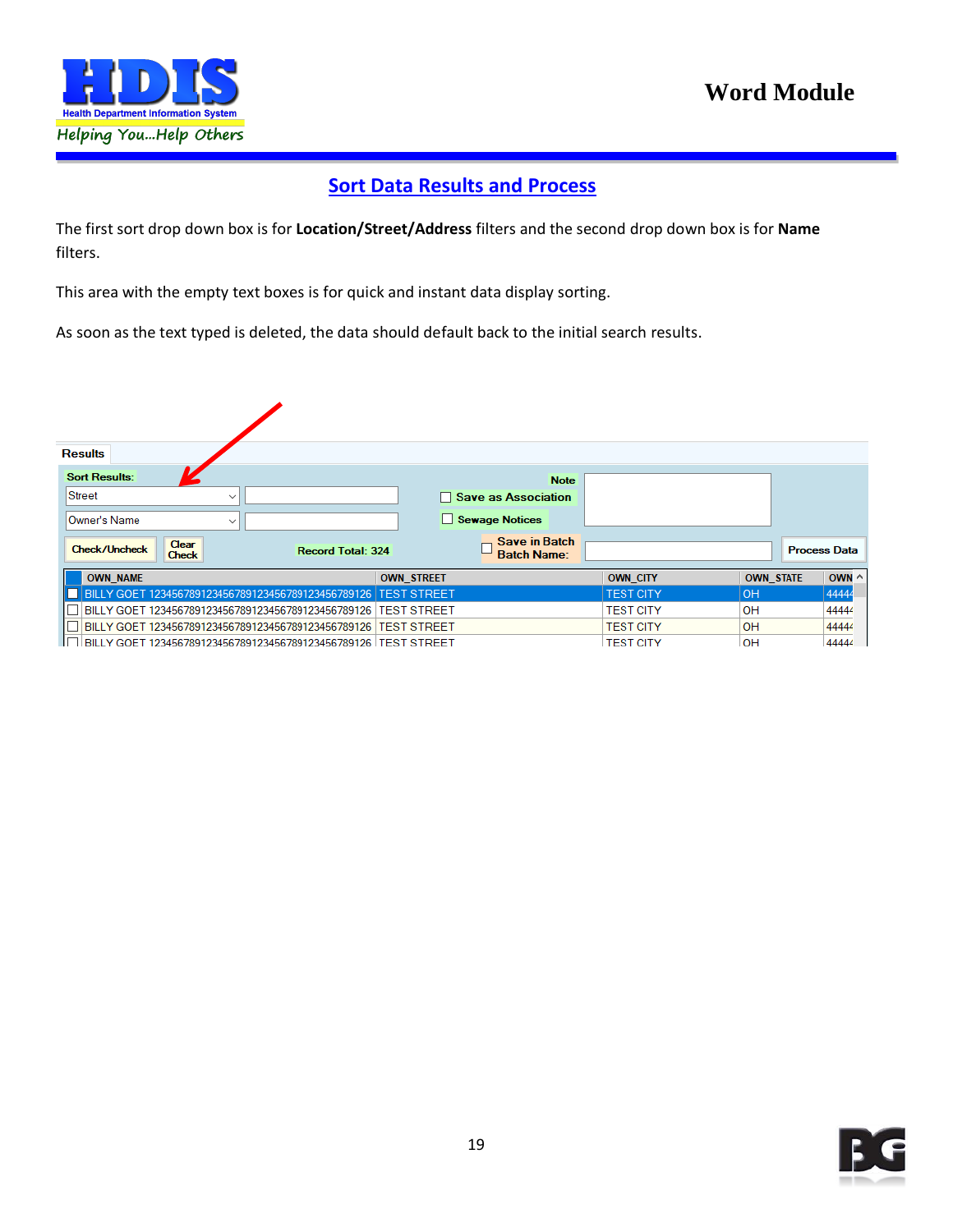

#### **Sort Data Results and Process**

<span id="page-18-0"></span>The first sort drop down box is for **Location/Street/Address** filters and the second drop down box is for **Name** filters.

This area with the empty text boxes is for quick and instant data display sorting.

As soon as the text typed is deleted, the data should default back to the initial search results.

| <b>Results</b>                                     |                                                                  |                                            |                  |                  |                     |
|----------------------------------------------------|------------------------------------------------------------------|--------------------------------------------|------------------|------------------|---------------------|
| <b>Sort Results:</b>                               |                                                                  | <b>Note</b>                                |                  |                  |                     |
| Street<br>$\checkmark$                             |                                                                  | □ Save as Association                      |                  |                  |                     |
| Owner's Name<br>$\checkmark$                       |                                                                  | Sewage Notices                             |                  |                  |                     |
| Clear<br><b>Check/Uncheck</b><br><b>Check</b>      | <b>Record Total: 324</b>                                         | <b>Save in Batch</b><br><b>Batch Name:</b> |                  |                  | <b>Process Data</b> |
| <b>OWN NAME</b>                                    |                                                                  | <b>OWN STREET</b>                          | <b>OWN CITY</b>  | <b>OWN STATE</b> | OWN $\wedge$        |
| BILLY GOET 123456789123456789123456789123456789126 |                                                                  | <b>TEST STREET</b>                         | <b>TEST CITY</b> | OH               | 44444               |
| BILLY GOET 123456789123456789123456789123456789126 |                                                                  | <b>TEST STREET</b>                         | <b>TEST CITY</b> | OH               | 44444               |
|                                                    | BILLY GOET 123456789123456789123456789123456789126   TEST STREET |                                            | <b>TEST CITY</b> | OH               | 44444               |
|                                                    | BILLY GOET 123456789123456789123456789123456789126   TEST STREET |                                            | <b>TEST CITY</b> | OH               | 44444               |

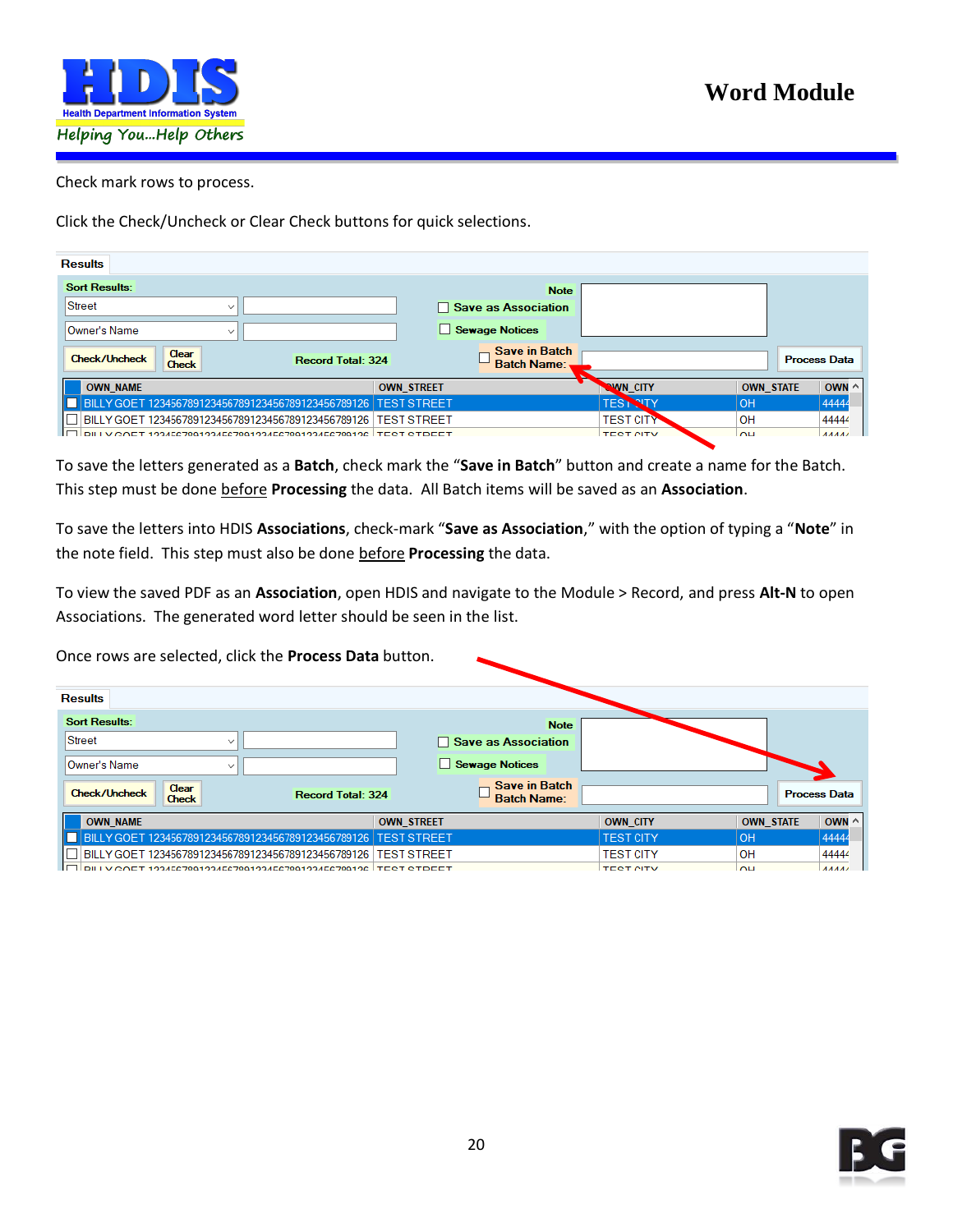

#### Check mark rows to process.

Click the Check/Uncheck or Clear Check buttons for quick selections.

| <b>Results</b>                                                            |                                            |                           |                  |                     |
|---------------------------------------------------------------------------|--------------------------------------------|---------------------------|------------------|---------------------|
| <b>Sort Results:</b>                                                      | <b>Note</b>                                |                           |                  |                     |
| Street<br>$\checkmark$                                                    | $\Box$ Save as Association                 |                           |                  |                     |
| Owner's Name<br>$\checkmark$                                              | Sewage Notices                             |                           |                  |                     |
| Clear<br><b>Check/Uncheck</b><br><b>Record Total: 324</b><br><b>Check</b> | <b>Save in Batch</b><br><b>Batch Name:</b> |                           |                  | <b>Process Data</b> |
| <b>OWN NAME</b>                                                           | <b>OWN STREET</b>                          | <b>NWN_CITY</b>           | <b>OWN STATE</b> | OWN $\wedge$        |
| BILLY GOET 123456789123456789123456789123456789126                        | <b>TEST STREET</b>                         | <b>TEST</b><br><b>NTY</b> | OH               | 44444               |
| BILLY GOET 123456789123456789123456789123456789126                        | <b>TEST STREET</b>                         | <b>TEST CITY</b>          | OΗ               | 44444               |
| V COET 193466780193466780193466780193466780196 TEST STDEET                |                                            | <b>TEST CITY</b>          | <b>OH</b>        | <b>AAAAA</b>        |

To save the letters generated as a **Batch**, check mark the "**Save in Batch**" button and create a name for the Batch. This step must be done before **Processing** the data. All Batch items will be saved as an **Association**.

To save the letters into HDIS **Associations**, check-mark "**Save as Association**," with the option of typing a "**Note**" in the note field. This step must also be done before **Processing** the data.

To view the saved PDF as an **Association**, open HDIS and navigate to the Module > Record, and press **Alt-N** to open Associations. The generated word letter should be seen in the list.

Once rows are selected, click the **Process Data** button.

| <b>Results</b>                                     |                                                                  |                                            |                  |                  |                     |
|----------------------------------------------------|------------------------------------------------------------------|--------------------------------------------|------------------|------------------|---------------------|
| <b>Sort Results:</b>                               |                                                                  | <b>Note</b>                                |                  |                  |                     |
| Street                                             | $\checkmark$                                                     | $\Box$ Save as Association                 |                  |                  |                     |
| Owner's Name                                       | $\checkmark$                                                     | Sewage Notices                             |                  |                  |                     |
| Clear<br><b>Check/Uncheck</b><br><b>Check</b>      | <b>Record Total: 324</b>                                         | <b>Save in Batch</b><br><b>Batch Name:</b> |                  |                  | <b>Process Data</b> |
| <b>OWN NAME</b>                                    |                                                                  | <b>OWN_STREET</b>                          | <b>OWN CITY</b>  | <b>OWN STATE</b> | OWN $\land$         |
| BILLY GOET 123456789123456789123456789123456789126 |                                                                  | <b>TEST STREET</b>                         | <b>TEST CITY</b> | OH               | 44444               |
| BILLY GOET 123456789123456789123456789123456789126 |                                                                  | <b>TEST STREET</b>                         | <b>TEST CITY</b> | <b>OH</b>        | 44444               |
|                                                    | RILLY COFT 193466780193466780193466780193466780196   TEST STDEET |                                            | <b>TEST CITY</b> | $\overline{M}$   | AAAA                |

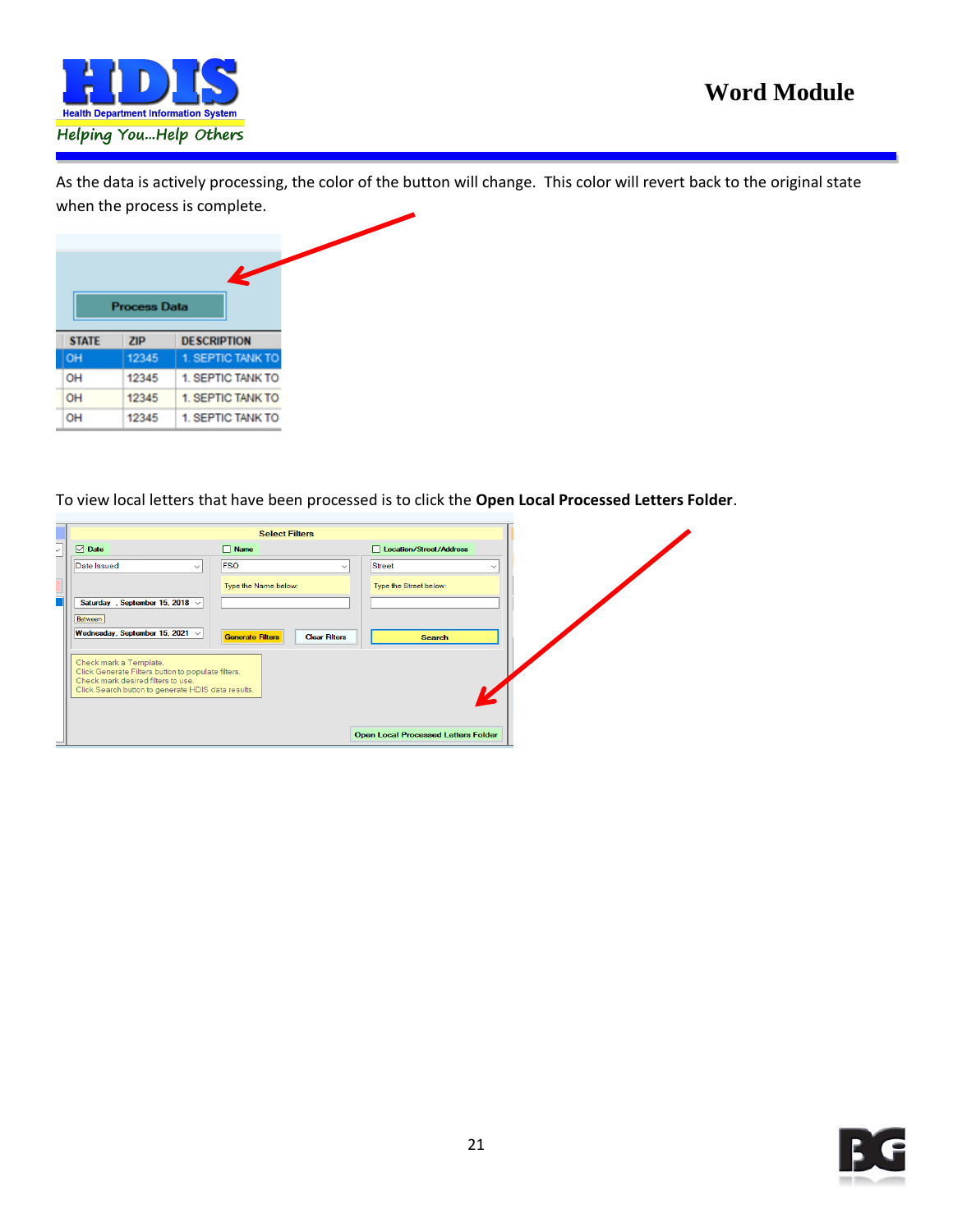

As the data is actively processing, the color of the button will change. This color will revert back to the original state when the process is complete.



To view local letters that have been processed is to click the **Open Local Processed Letters Folder**.

| <b>Select Filters</b>                                                                                                                                                    |                                                 |                                            |  |
|--------------------------------------------------------------------------------------------------------------------------------------------------------------------------|-------------------------------------------------|--------------------------------------------|--|
| $\nabla$ Date<br>$\vee$                                                                                                                                                  | $\Box$ Name                                     | <b>Location/Street/Address</b><br>п        |  |
| Date Issued<br>$\checkmark$                                                                                                                                              | <b>FSO</b>                                      | Street<br>$\checkmark$<br>$\checkmark$     |  |
| Saturday, September 15, 2018 $\sqrt{ }$                                                                                                                                  | Type the Name below:                            | Type the Street below:                     |  |
| Between<br>Wednesday, September 15, 2021 $\vee$                                                                                                                          | <b>Generate Filters</b><br><b>Clear Filters</b> | <b>Search</b>                              |  |
| Check mark a Template.<br>Click Generate Filters button to populate filters.<br>Check mark desired filters to use.<br>Click Search button to generate HDIS data results. |                                                 |                                            |  |
|                                                                                                                                                                          |                                                 | <b>Open Local Processed Letters Folder</b> |  |

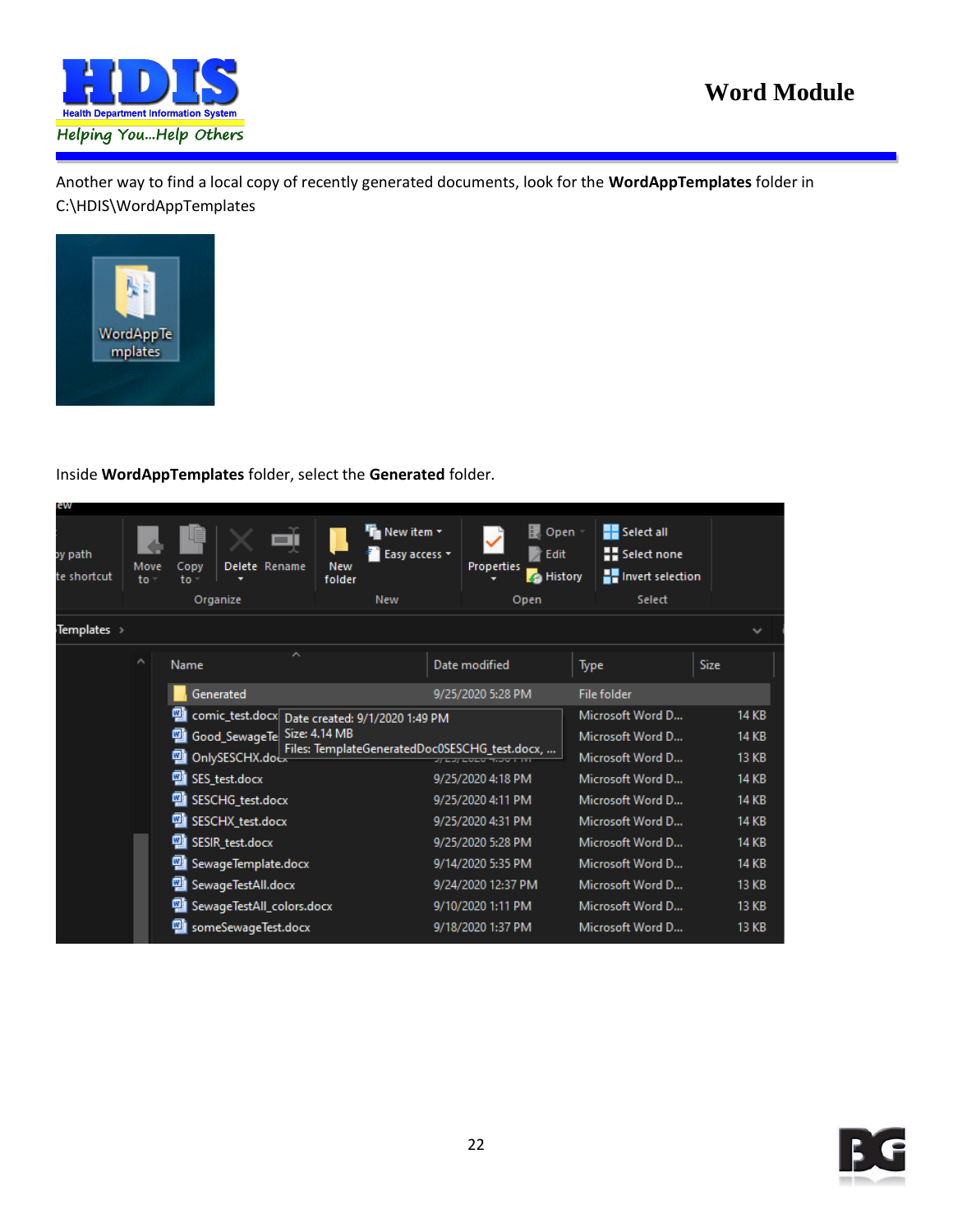

Another way to find a local copy of recently generated documents, look for the **WordAppTemplates** folder in C:\HDIS\WordAppTemplates



#### Inside **WordAppTemplates** folder, select the **Generated** folder.

| <b>G VV</b>            |              |                                                |                                                                 |                                                              |                                                                                |              |  |
|------------------------|--------------|------------------------------------------------|-----------------------------------------------------------------|--------------------------------------------------------------|--------------------------------------------------------------------------------|--------------|--|
| oy path<br>te shortcut | Move<br>to - | Delete Rename<br>Copy<br>to                    | File New item ▼<br><b>Easy access v</b><br><b>New</b><br>folder | Ы<br>Open<br><b>Z</b> Edit<br>Properties<br><b>B</b> History | <b>Select all</b><br><b>Explored Select none</b><br><b>TH</b> Invert selection |              |  |
|                        |              | Organize                                       | <b>New</b>                                                      | Open                                                         | Select                                                                         |              |  |
| Templates >            |              |                                                |                                                                 |                                                              |                                                                                | $\checkmark$ |  |
|                        | ۸            | ᄉ<br><b>Name</b>                               |                                                                 | Date modified                                                | Type                                                                           | Size         |  |
|                        |              | Generated                                      |                                                                 | 9/25/2020 5:28 PM                                            | File folder                                                                    |              |  |
|                        |              | comic_test.docx Date created: 9/1/2020 1:49 PM |                                                                 |                                                              | Microsoft Word D                                                               | <b>14 KB</b> |  |
|                        |              | Good_SewageTe                                  | Size: 4.14 MB                                                   |                                                              | Microsoft Word D                                                               | <b>14 KB</b> |  |
|                        |              | OnlySESCHX.doc.                                | Files: TemplateGeneratedDoc0SESCHG_test.docx,                   | <b><i>REPORT OF STREET WAS SERVED FOR DISPLACING</i></b>     | Microsoft Word D                                                               | <b>13 KB</b> |  |
|                        |              | <sup>四</sup> SES_test.docx                     |                                                                 | 9/25/2020 4:18 PM                                            | Microsoft Word D                                                               | <b>14 KB</b> |  |
|                        |              | SESCHG_test.docx                               |                                                                 | 9/25/2020 4:11 PM                                            | Microsoft Word D                                                               | <b>14 KB</b> |  |
|                        |              | <b>四</b> SESCHX_test.docx                      |                                                                 | 9/25/2020 4:31 PM                                            | Microsoft Word D                                                               | <b>14 KB</b> |  |
|                        |              | <b>四</b> SESIR_test.docx                       |                                                                 | 9/25/2020 5:28 PM                                            | Microsoft Word D                                                               | <b>14 KB</b> |  |
|                        |              | <b>四</b> SewageTemplate.docx                   |                                                                 | 9/14/2020 5:35 PM                                            | Microsoft Word D                                                               | <b>14 KB</b> |  |
|                        |              | <b>四</b> SewageTestAll.docx                    |                                                                 | 9/24/2020 12:37 PM                                           | Microsoft Word D                                                               | <b>13 KB</b> |  |
|                        |              | SewageTestAll_colors.docx                      |                                                                 | 9/10/2020 1:11 PM                                            | Microsoft Word D                                                               | <b>13 KB</b> |  |
|                        |              | someSewageTest.docx                            |                                                                 | 9/18/2020 1:37 PM                                            | Microsoft Word D                                                               | <b>13 KB</b> |  |
|                        |              |                                                |                                                                 |                                                              |                                                                                |              |  |

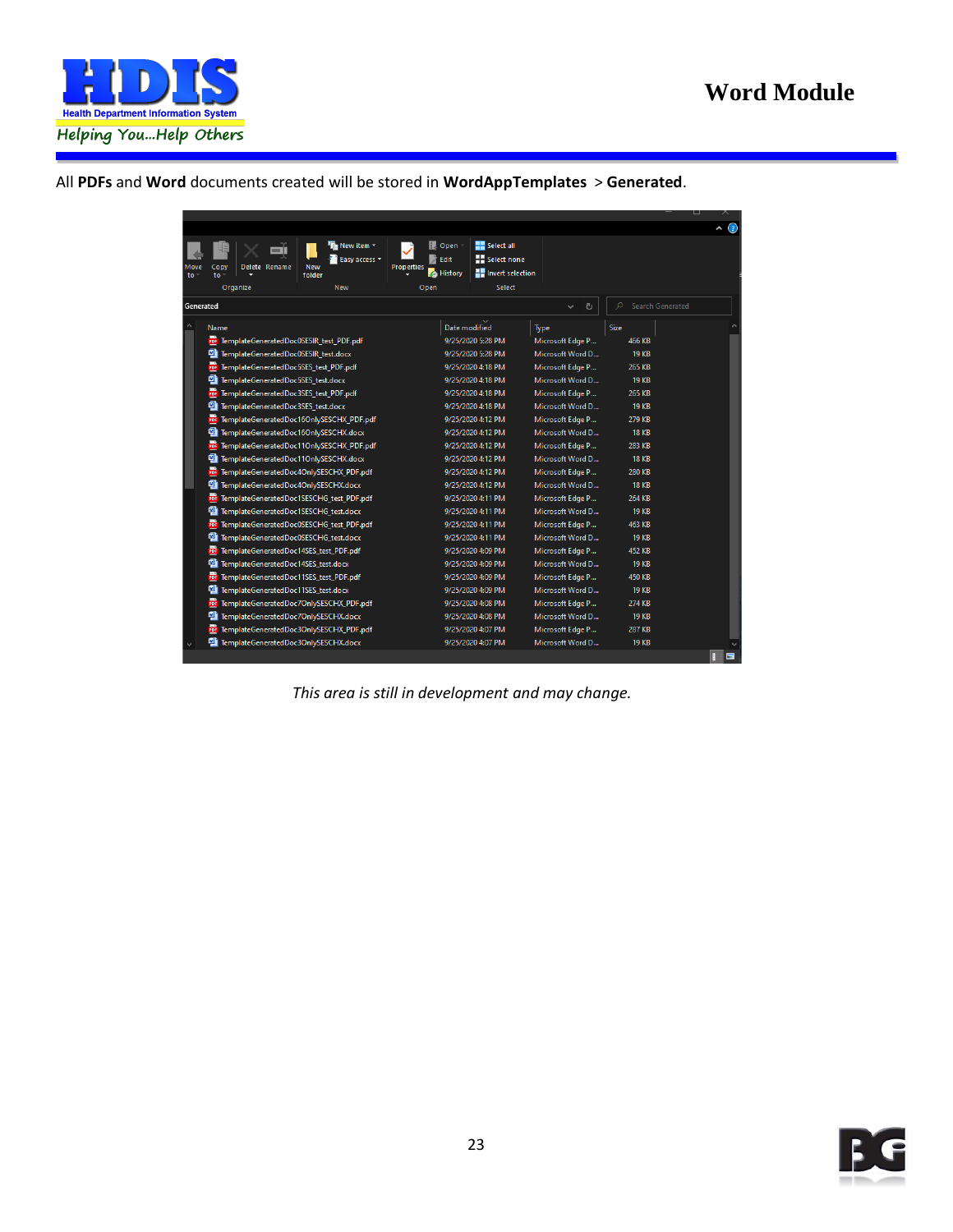

All **PDFs** and **Word** documents created will be stored in **WordAppTemplates** > **Generated**.

|             |                                                    |                       |                                       |                      |                   |                             | ⊟              |
|-------------|----------------------------------------------------|-----------------------|---------------------------------------|----------------------|-------------------|-----------------------------|----------------|
|             |                                                    |                       |                                       |                      |                   |                             | $\wedge$ (?)   |
|             |                                                    | <b>Fig</b> New item ~ | D Open                                | <b>HE</b> Select all |                   |                             |                |
|             | <b>New</b><br>Delete Rename                        | <b>Easy access v</b>  | <b>Edit</b>                           | <b>Expert come</b>   |                   |                             |                |
| Move<br>to: | Copy<br>to<br>folder                               |                       | <b>Properties</b><br><b>B</b> History | Howert selection     |                   |                             |                |
|             | Organize                                           | <b>New</b>            | Open                                  | Select               |                   |                             |                |
| Generated   |                                                    |                       |                                       |                      | ტ<br>$\checkmark$ | Search Generated<br>$\circ$ |                |
|             |                                                    |                       |                                       |                      |                   |                             |                |
| Α           | Name                                               |                       | Date modified                         |                      | Type              | Size                        |                |
|             | <b>PDF</b> TemplateGeneratedDoc0SESIR_test_PDF.pdf |                       |                                       | 9/25/2020 5:28 PM    | Microsoft Edge P  | 466 KB                      |                |
|             | 嚉<br>TemplateGeneratedDoc0SESIR test.docx          |                       |                                       | 9/25/2020 5:28 PM    | Microsoft Word D  | <b>19 KB</b>                |                |
|             | POF<br>TemplateGeneratedDoc5SES_test_PDF.pdf       |                       |                                       | 9/25/2020 4:18 PM    | Microsoft Edge P  | 265 KB                      |                |
|             | g<br>TemplateGeneratedDoc5SES test.docx            |                       |                                       | 9/25/2020 4:18 PM    | Microsoft Word D  | <b>19 KB</b>                |                |
|             | POF<br>TemplateGeneratedDoc3SES_test_PDF.pdf       |                       |                                       | 9/25/2020 4:18 PM    | Microsoft Edge P  | 265 KB                      |                |
|             | q<br>TemplateGeneratedDoc3SES_test.docx            |                       |                                       | 9/25/2020 4:18 PM    | Microsoft Word D  | <b>19 KB</b>                |                |
|             | POP<br>TemplateGeneratedDoc16OnlySESCHX_PDF.pdf    |                       |                                       | 9/25/2020 4:12 PM    | Microsoft Edge P  | 279 KB                      |                |
|             | g<br>TemplateGeneratedDoc16OnlySESCHX.docx         |                       |                                       | 9/25/2020 4:12 PM    | Microsoft Word D  | <b>18 KB</b>                |                |
|             | PDF<br>TemplateGeneratedDoc11OnlySESCHX_PDF.pdf    |                       |                                       | 9/25/2020 4:12 PM    | Microsoft Edge P  | 283 KB                      |                |
|             | g<br>TemplateGeneratedDoc11OnlySESCHX.docx         |                       |                                       | 9/25/2020 4:12 PM    | Microsoft Word D  | <b>18 KB</b>                |                |
|             | PDF TemplateGeneratedDoc4OnlySESCHX_PDF.pdf        |                       |                                       | 9/25/2020 4:12 PM    | Microsoft Edge P  | 280 KB                      |                |
|             | ø<br>TemplateGeneratedDoc4OnlySESCHX.docx          |                       |                                       | 9/25/2020 4:12 PM    | Microsoft Word D  | <b>18 KB</b>                |                |
|             | PDF<br>TemplateGeneratedDoc1SESCHG test PDF.pdf    |                       |                                       | 9/25/2020 4:11 PM    | Microsoft Edge P  | 264 KB                      |                |
|             | g<br>TemplateGeneratedDoc1SESCHG test.docx         |                       |                                       | 9/25/2020 4:11 PM    | Microsoft Word D  | <b>19 KB</b>                |                |
|             | PDF<br>TemplateGeneratedDoc0SESCHG_test_PDF.pdf    |                       |                                       | 9/25/2020 4:11 PM    | Microsoft Edge P  | 463 KB                      |                |
|             | g<br>TemplateGeneratedDoc0SESCHG test.docx         |                       |                                       | 9/25/2020 4:11 PM    | Microsoft Word D  | <b>19 KB</b>                |                |
|             | <b>PDF</b> TemplateGeneratedDoc14SES test PDF.pdf  |                       |                                       | 9/25/2020 4:09 PM    | Microsoft Edge P  | 452 KB                      |                |
|             | g<br>TemplateGeneratedDoc14SES test.docx           |                       |                                       | 9/25/2020 4:09 PM    | Microsoft Word D  | <b>19 KB</b>                |                |
|             | <b>POF</b> TemplateGeneratedDoc11SES_test_PDF.pdf  |                       |                                       | 9/25/2020 4:09 PM    | Microsoft Edge P  | 450 KB                      |                |
|             | q<br>TemplateGeneratedDoc11SES test.docx           |                       |                                       | 9/25/2020 4:09 PM    | Microsoft Word D  | <b>19 KB</b>                |                |
|             | POF<br>TemplateGeneratedDoc7OnlySESCHX_PDF.pdf     |                       |                                       | 9/25/2020 4:08 PM    | Microsoft Edge P  | 274 KB                      |                |
|             | оц<br>TemplateGeneratedDoc7OnlySESCHX.docx         |                       |                                       | 9/25/2020 4:08 PM    | Microsoft Word D  | <b>19 KB</b>                |                |
|             | TemplateGeneratedDoc3OnlySESCHX_PDF.pdf<br>PDF     |                       |                                       | 9/25/2020 4:07 PM    | Microsoft Edge P  | 287 KB                      |                |
|             | o,<br>TemplateGeneratedDoc3OnlySESCHX.docx         |                       |                                       | 9/25/2020 4:07 PM    | Microsoft Word D  | <b>19 KB</b>                |                |
|             |                                                    |                       |                                       |                      |                   |                             | $\blacksquare$ |

*This area is still in development and may change.*

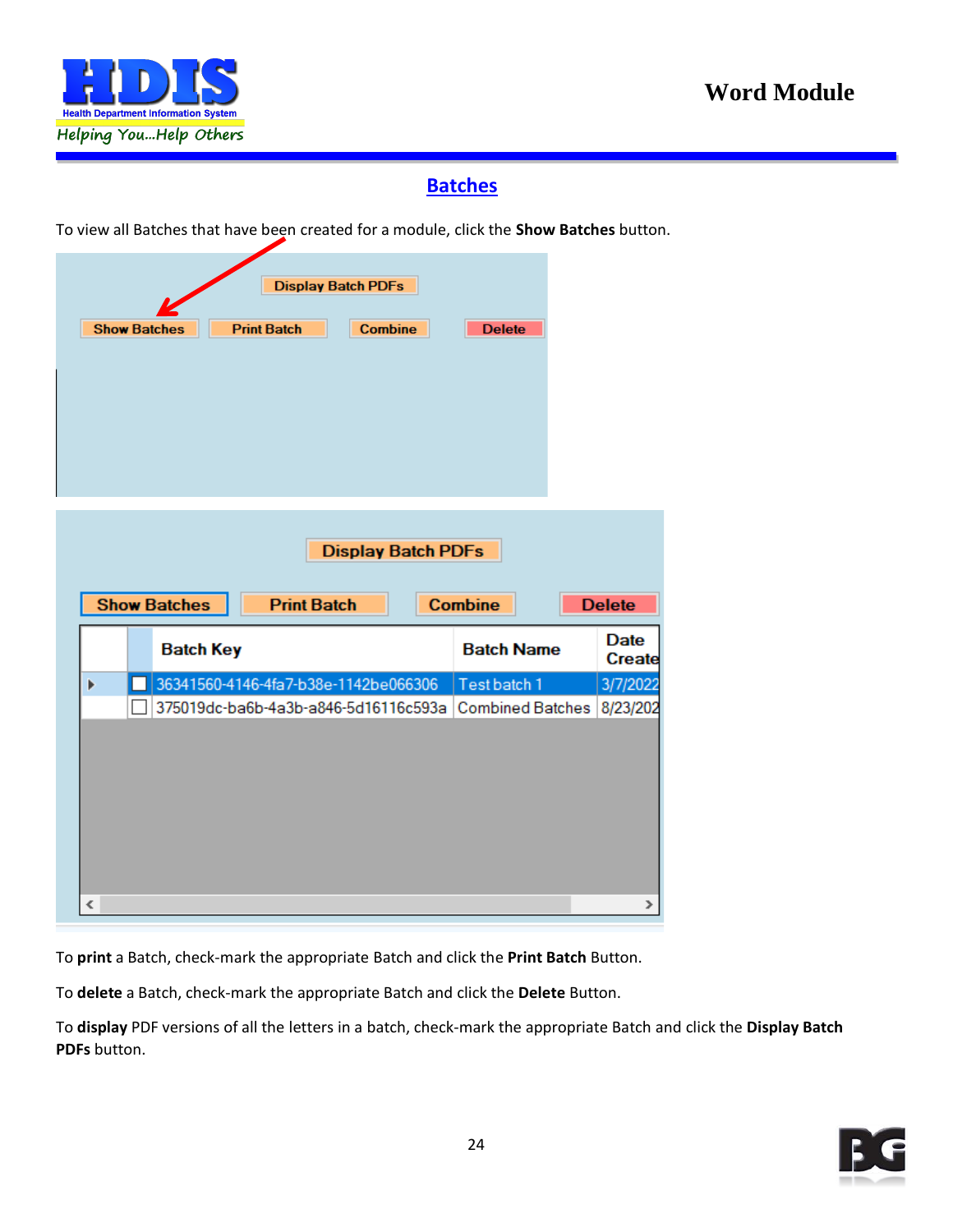

#### **Batches**

<span id="page-23-0"></span>To view all Batches that have been created for a module, click the **Show Batches** button.

|                           | <b>Display Batch PDFs</b>                             |                   |                              |  |  |  |  |
|---------------------------|-------------------------------------------------------|-------------------|------------------------------|--|--|--|--|
| <b>Show Batches</b>       | <b>Print Batch</b><br><b>Combine</b>                  | <b>Delete</b>     |                              |  |  |  |  |
|                           |                                                       |                   |                              |  |  |  |  |
|                           |                                                       |                   |                              |  |  |  |  |
|                           |                                                       |                   |                              |  |  |  |  |
|                           |                                                       |                   |                              |  |  |  |  |
|                           |                                                       |                   |                              |  |  |  |  |
|                           |                                                       |                   |                              |  |  |  |  |
| <b>Display Batch PDFs</b> |                                                       |                   |                              |  |  |  |  |
|                           |                                                       |                   |                              |  |  |  |  |
| <b>Show Batches</b>       | <b>Print Batch</b>                                    | <b>Combine</b>    | <b>Delete</b>                |  |  |  |  |
| <b>Batch Key</b>          |                                                       | <b>Batch Name</b> | <b>Date</b><br><b>Create</b> |  |  |  |  |
| Þ                         | 36341560-4146-4fa7-b38e-1142be066306                  | Test batch 1      | 3/7/2022                     |  |  |  |  |
|                           | 375019dc-ba6b-4a3b-a846-5d16116c593a Combined Batches |                   | 8/23/202                     |  |  |  |  |
|                           |                                                       |                   |                              |  |  |  |  |
|                           |                                                       |                   |                              |  |  |  |  |
|                           |                                                       |                   |                              |  |  |  |  |
|                           |                                                       |                   |                              |  |  |  |  |
|                           |                                                       |                   |                              |  |  |  |  |

To **print** a Batch, check-mark the appropriate Batch and click the **Print Batch** Button.

To **delete** a Batch, check-mark the appropriate Batch and click the **Delete** Button.

To **display** PDF versions of all the letters in a batch, check-mark the appropriate Batch and click the **Display Batch PDFs** button.

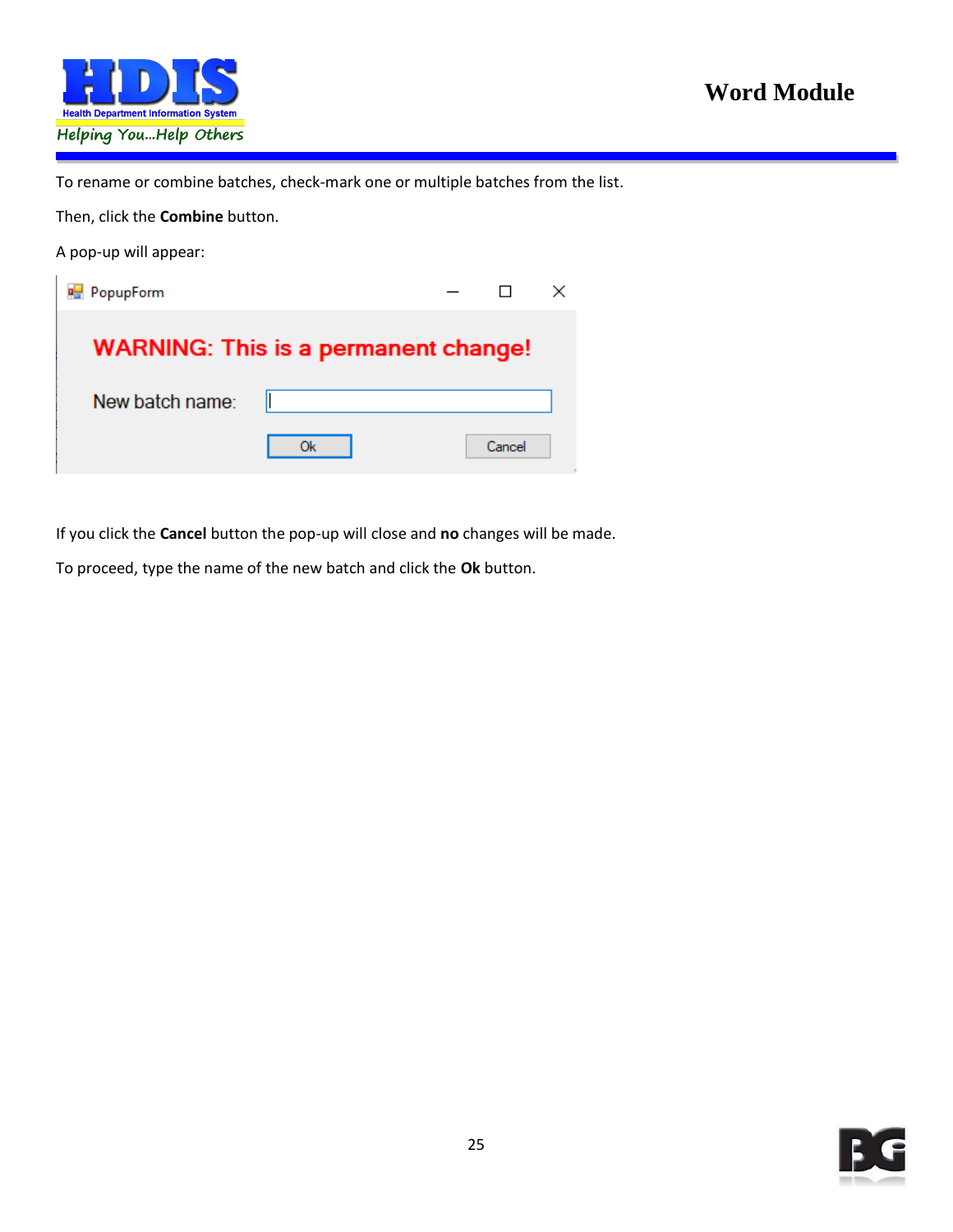

To rename or combine batches, check-mark one or multiple batches from the list.

Then, click the **Combine** button.

A pop-up will appear:

| <b>PopupForm</b> |                                             |        |  |
|------------------|---------------------------------------------|--------|--|
|                  | <b>WARNING: This is a permanent change!</b> |        |  |
| New batch name:  |                                             |        |  |
|                  | Ok                                          | Cancel |  |

If you click the **Cancel** button the pop-up will close and **no** changes will be made.

To proceed, type the name of the new batch and click the **Ok** button.

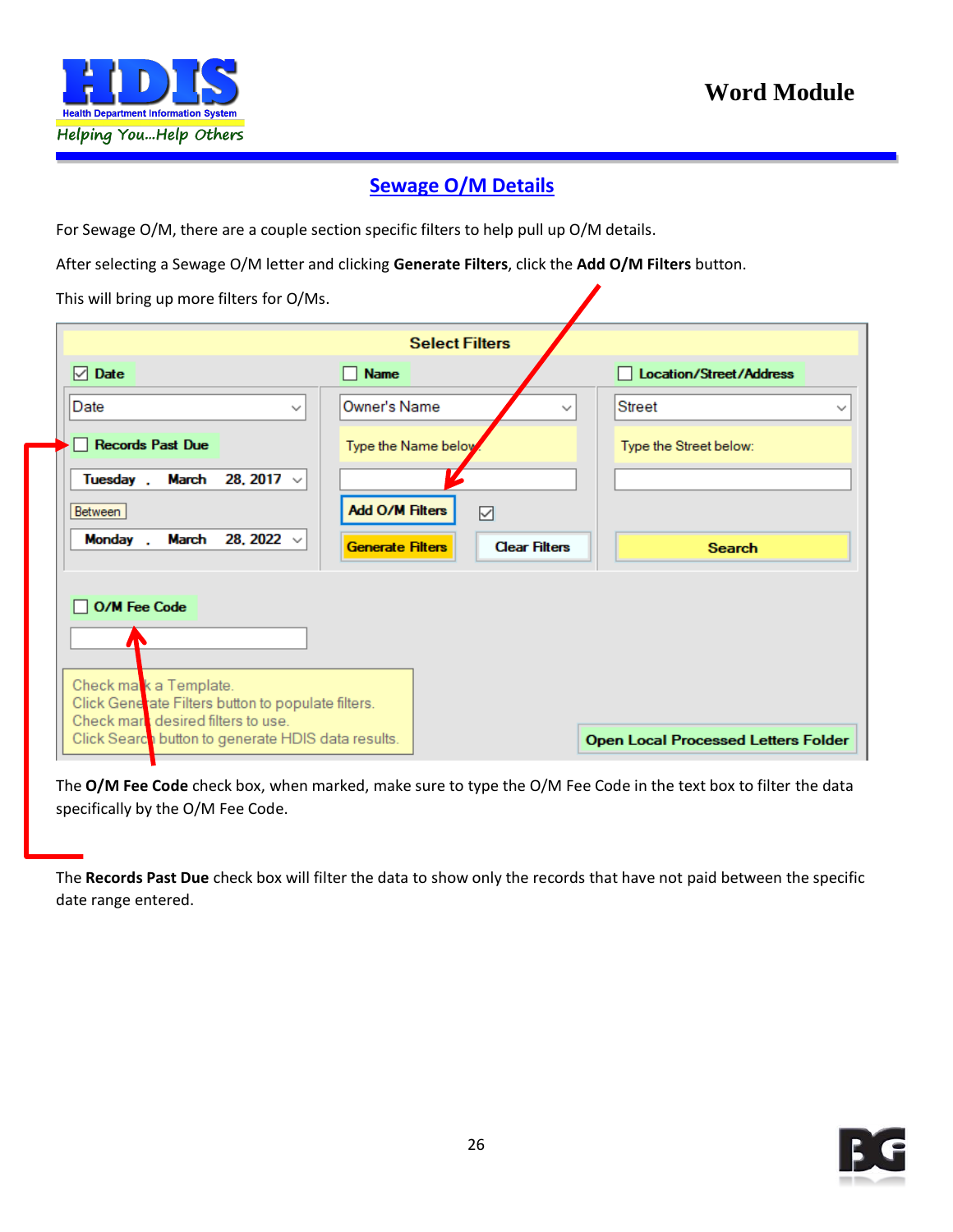

#### **Sewage O/M Details**

<span id="page-25-0"></span>For Sewage O/M, there are a couple section specific filters to help pull up O/M details.

After selecting a Sewage O/M letter and clicking **Generate Filters**, click the **Add O/M Filters** button.

This will bring up more filters for O/Ms.

|                                                                                          | <b>Select Filters</b>                           |                                               |
|------------------------------------------------------------------------------------------|-------------------------------------------------|-----------------------------------------------|
| $\nabla$ Date                                                                            | <b>Name</b>                                     | <b>Location/Street/Address</b>                |
| Date<br>$\checkmark$                                                                     | Owner's Name                                    | <b>Street</b><br>$\checkmark$<br>$\checkmark$ |
| <b>Records Past Due</b>                                                                  | Type the Name below                             | Type the Street below:                        |
| March 28, 2017 $\vee$<br>Tuesday.                                                        |                                                 |                                               |
| Between                                                                                  | <b>Add O/M Filters</b><br>☑                     |                                               |
| Monday<br>March<br>28, 2022 $\sqrt{ }$                                                   | <b>Clear Filters</b><br><b>Generate Filters</b> | <b>Search</b>                                 |
| <b>O/M Fee Code</b>                                                                      |                                                 |                                               |
|                                                                                          |                                                 |                                               |
|                                                                                          |                                                 |                                               |
| Check mak a Template.<br>Click Generate Filters button to populate filters.              |                                                 |                                               |
| Check mark desired filters to use.<br>Click Search button to generate HDIS data results. |                                                 | <b>Open Local Processed Letters Folder</b>    |

The **O/M Fee Code** check box, when marked, make sure to type the O/M Fee Code in the text box to filter the data specifically by the O/M Fee Code.

The **Records Past Due** check box will filter the data to show only the records that have not paid between the specific date range entered.